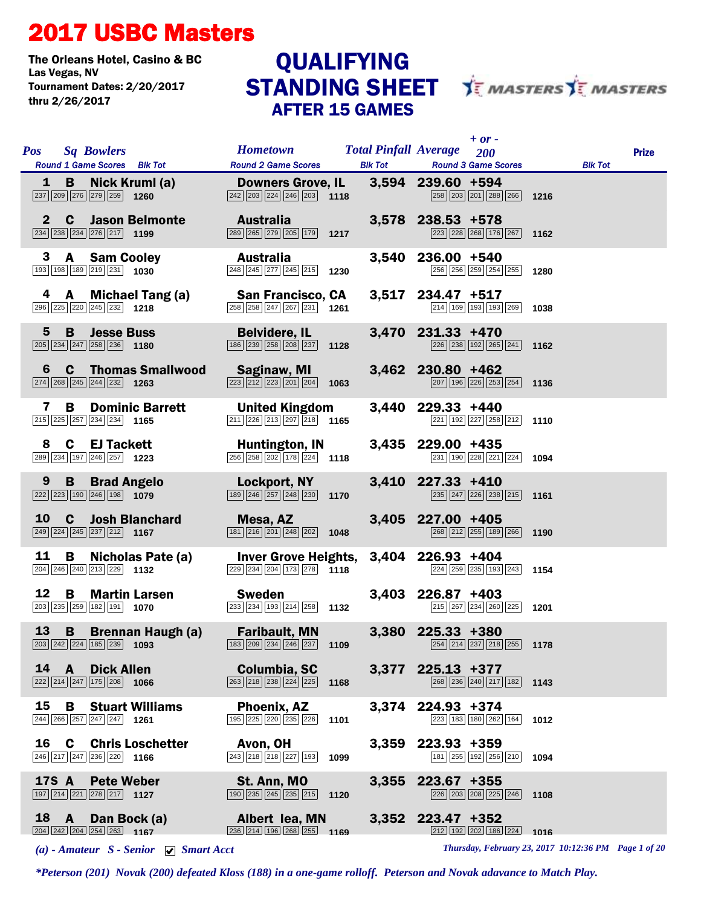## 2017 USBC Masters

The Orleans Hotel, Casino & BC<br>Las Vegas, NV Tournament Dates: 2/20/2017 thru 2/26/2017

## AFTER 15 GAMES QUALIFYING



|              | <b>Pos</b> Sq Bowlers<br>Round 1 Game Scores Blk Tot                                                                                                                    | <b>Example 18 Total Pinfall Average</b> 200<br><b>Round 2 Game Scores</b>                                   |      | $+$ or $-$<br><b>Blk Tot Found 3 Game Scores</b>                                                                                | <b>Prize</b><br><b>Blk Tot</b> |
|--------------|-------------------------------------------------------------------------------------------------------------------------------------------------------------------------|-------------------------------------------------------------------------------------------------------------|------|---------------------------------------------------------------------------------------------------------------------------------|--------------------------------|
|              | 1 B Nick Kruml (a) Downers Grove, IL 3,594 239.60 +594<br>237 209 276 279 259 1260                                                                                      | $\boxed{242}\boxed{203}\boxed{224}\boxed{246}\boxed{203}$ 1118                                              |      | 258 203 201 288 266 1216                                                                                                        |                                |
| $\mathbf{2}$ | <b>C</b> Jason Belmonte<br>$\boxed{234}$ $\boxed{238}$ $\boxed{234}$ $\boxed{276}$ $\boxed{217}$ 1199                                                                   | <b>Australia</b><br>289 265 279 205 179 1217                                                                |      | 3,578 238.53 +578<br>223 228 268 176 267 1162                                                                                   |                                |
| 3            | <b>A</b> Sam Cooley<br>193 198 189 219 231 1030                                                                                                                         | Australia<br>$\boxed{248}$ $\boxed{245}$ $\boxed{277}$ $\boxed{245}$ $\boxed{215}$ <b>1230</b>              |      | 3,540 236.00 +540<br>256 256 259 254 255 1280                                                                                   |                                |
|              | 4 <b>A</b> Michael Tang (a) San Francisco, CA 3,517 234.47 +517<br>$\frac{1}{256 258 258 247 267 237 }$ 1261<br>296 225 220 245 232 1218                                | $\overline{258}$ $\overline{258}$ $\overline{247}$ $\overline{267}$ $\overline{231}$ 1261                   |      | 214 169 193 193 269 1038                                                                                                        |                                |
| 5            | <b>B</b> Jesse Buss<br>205 234 247 258 236 1180                                                                                                                         | <b>Belvidere, IL</b><br>$\boxed{186}$ $\boxed{239}$ $\boxed{258}$ $\boxed{208}$ $\boxed{237}$ <b>1128</b>   |      | 3,470 231.33 +470<br>$\begin{array}{ c c c c c c }\n\hline\n226 & 238 & 192 & 265 & 241 & \textbf{1162} \\ \hline\n\end{array}$ |                                |
| 6            | $\mathbf{c}$<br><b>Thomas Smallwood Saginaw, MI</b><br>$\boxed{274}$ $\boxed{268}$ $\boxed{245}$ $\boxed{244}$ $\boxed{232}$ <b>1263</b>                                | $\overline{223}$ $\overline{212}$ $\overline{223}$ $\overline{201}$ $\overline{204}$ 1063                   |      | 3,462 230.80 +462<br>207 196 226 253 254 1136                                                                                   |                                |
| 7            | B<br><b>Dominic Barrett</b><br>$\boxed{215}$ $\boxed{225}$ $\boxed{257}$ $\boxed{234}$ $\boxed{234}$ <b>1165</b>                                                        | <b>United Kingdom</b><br>$\boxed{211}$ $\boxed{226}$ $\boxed{213}$ $\boxed{297}$ $\boxed{218}$ 1165         |      | 3,440 229.33 +440<br>221 192 227 258 212 1110                                                                                   |                                |
| 8            | $C \nightharpoonup$ EJ Tackett<br>289 234 197 246 257 1223                                                                                                              | Huntington, IN<br><b>Huntington, IN</b><br>256 258 202 178 224 1118                                         |      | 3,435 229.00 +435<br>$\boxed{231}$ 190 $\boxed{228}$ $\boxed{221}$ $\boxed{224}$ 1094                                           |                                |
|              | 9 B Brad Angelo<br>222 223 190 246 198 1079 1079 189 246 257 248 260 270 1170                                                                                           |                                                                                                             |      | 3,410 227.33 +410<br>$\boxed{235}$ $\boxed{247}$ $\boxed{226}$ $\boxed{238}$ $\boxed{215}$ 1161                                 |                                |
| <b>10</b>    | $\mathbf{C}$<br><b>Josh Blanchard</b><br>$\boxed{249}$ $\boxed{224}$ $\boxed{245}$ $\boxed{237}$ $\boxed{212}$ <b>1167</b>                                              | Mesa, AZ<br>$\boxed{181}$ $\boxed{216}$ $\boxed{201}$ $\boxed{248}$ $\boxed{202}$ <b>1048</b>               |      | 3,405 227.00 +405<br>268 212 255 189 266 1190                                                                                   |                                |
| 11           | Nicholas Pate (a) Inver Grove Heights, 3,404 226.93 +404<br>$\frac{226.93}{229 234 204 173 278 }$ 1118<br>$\frac{2281}{224 258 1938 }$<br>B<br>204 246 240 213 229 1132 | $\overline{ 229 } 234   204   173   278$ 1118                                                               |      | 224 259 235 193 243 1154                                                                                                        |                                |
| 12           | $\overline{B}$<br><b>Martin Larsen</b><br><b>Martin Larsen</b><br>$\boxed{203}$ $\boxed{235}$ $\boxed{259}$ $\boxed{182}$ $\boxed{191}$ <b>1070</b>                     | <b>Sweden</b><br>$\frac{233}{233}$ $\frac{234}{193}$ $\frac{214}{258}$ 1132                                 |      | $3,403$ 226.87 +403<br>215 267 234 260 225 1201                                                                                 |                                |
|              | <b>13 B Brennan Haugh (a) Faribault, MN</b> 3,380 225.33 +380<br><b>203</b> 242 244 239 1093 1093 133 209 234 246 237 1109                                              | $\boxed{183}\boxed{209}\boxed{234}\boxed{246}\boxed{237}$ 1109                                              |      | $\boxed{254}$ $\boxed{214}$ $\boxed{237}$ $\boxed{218}$ $\boxed{255}$ 1178                                                      |                                |
|              | 14 A Dick Allen<br>$\sqrt{222 \cdot 214 \cdot 247 \cdot 175 \cdot 208}$ 1066                                                                                            | Columbia, SC<br>$\sqrt{263}\sqrt{218}\sqrt{238}\sqrt{224}\sqrt{225}$ 1168                                   |      | $3,377$ 225.13 +377<br>$\boxed{268}$ $\boxed{236}$ $\boxed{240}$ $\boxed{217}$ $\boxed{182}$ <b>1143</b>                        |                                |
| 15           | <b>B</b> Stuart Williams<br>244 266 257 247 247 1261                                                                                                                    | Phoenix, AZ<br>195 225 220 235 226                                                                          | 1101 | 3,374 224.93 +374<br>223 183 180 262 164                                                                                        | 1012                           |
|              | 16 C Chris Loschetter<br>246 217 247 236 220 1166                                                                                                                       | Avon, OH<br>243 218 218 227 193                                                                             | 1099 | 3,359 223.93 +359<br>181 255 192 256 210                                                                                        | 1094                           |
|              | 17S A Pete Weber<br>$\boxed{197}$ $\boxed{214}$ $\boxed{221}$ $\boxed{278}$ $\boxed{217}$ <b>1127</b>                                                                   | St. Ann, MO<br>$\boxed{190}$ $\boxed{235}$ $\boxed{245}$ $\boxed{235}$ $\boxed{215}$                        | 1120 | 3,355 223.67 +355<br>226 203 208 225 246                                                                                        | 1108                           |
|              | 18 A Dan Bock (a)<br>$\overline{204}$ $\overline{242}$ $\overline{204}$ $\overline{254}$ $\overline{263}$ 1167                                                          | Albert lea, MN<br>$\overline{236}$ $\overline{214}$ $\overline{196}$ $\overline{268}$ $\overline{255}$ 1169 |      | 3,352 223.47 +352<br>212 192 202 186 224                                                                                        | 1016                           |

*(a) - Amateur S - Senior Smart Acct Thursday, February 23, 2017 10:12:36 PM Page 1 of 20*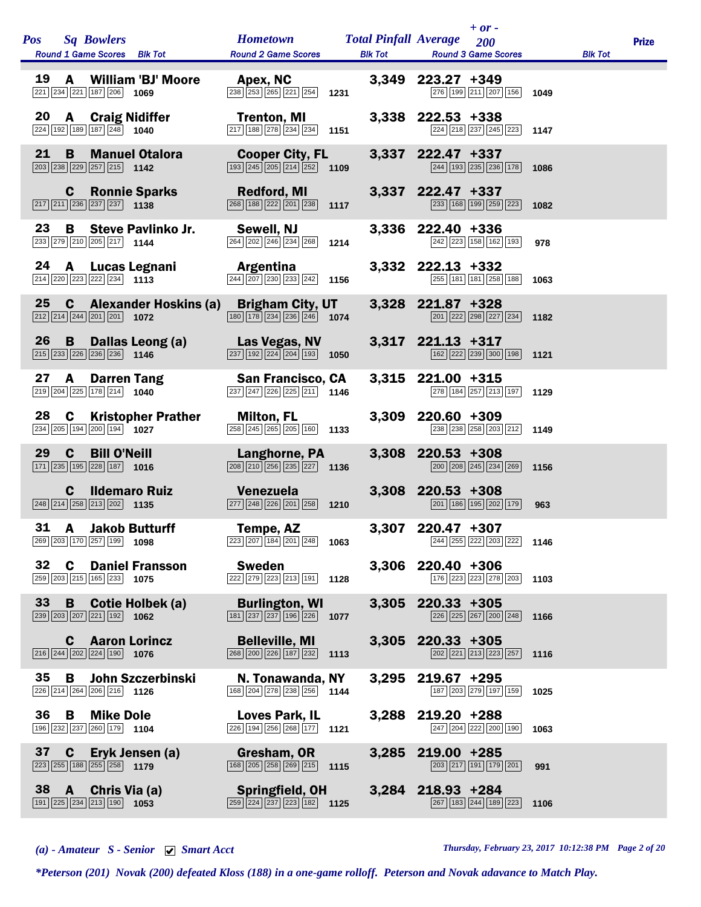| <b>Pos</b>      | <b>Sq Bowlers</b><br>Round 1 Game Scores Blk Tot Round 2 Game Scores                                                                                                                                                                                                                                                                                                       | <b>Example 18 Total Pinfall Average</b> 200                                                                                         | $+$ or -<br><b>Blk Tot Round 3 Game Scores</b>                                                         |      | <b>Blk Tot</b> | <b>Prize</b> |
|-----------------|----------------------------------------------------------------------------------------------------------------------------------------------------------------------------------------------------------------------------------------------------------------------------------------------------------------------------------------------------------------------------|-------------------------------------------------------------------------------------------------------------------------------------|--------------------------------------------------------------------------------------------------------|------|----------------|--------------|
| 19              | <b>A</b> William 'BJ' Moore <b>Apex, NC</b><br>$\frac{234}{238}$ $\frac{221}{253}$ $\frac{255}{255}$ $\frac{255}{255}$ $\frac{221}{254}$ 1231<br>221 234 221 187 206 1069                                                                                                                                                                                                  |                                                                                                                                     | 3,349 223.27 +349<br>276 199 211 207 156 1049                                                          |      |                |              |
|                 | <b>20 A Craig Nidiffer Trenton, MI</b><br>224 192 198 187 248 1040 217 188 278 234 234 1151<br>$\boxed{224}$ 192 189 187 248 1040                                                                                                                                                                                                                                          | $\boxed{217}$ 188 $\boxed{278}$ $\boxed{234}$ $\boxed{234}$ 1151                                                                    | 3,338 222.53 +338<br>224 218 237 245 223 1147                                                          |      |                |              |
| 21              | $\mathbf{B}$<br>$\boxed{203}$ $\boxed{238}$ $\boxed{229}$ $\boxed{257}$ $\boxed{215}$ <b>1142</b>                                                                                                                                                                                                                                                                          | <b>Manuel Otalora Cooper City, FL</b> 3,337 222.47 +337 <b>202.47</b> - 237 <b>238</b> 246 <b>289</b> 236 <b>238</b> 238 <b>238</b> | 244 193 235 236 178 1086                                                                               |      |                |              |
|                 | <b>C</b> Ronnie Sparks<br>217 211 236 237 237 1138<br>268 188 222 201 238 1137                                                                                                                                                                                                                                                                                             |                                                                                                                                     | 3,337 222.47 +337<br>$\boxed{233}$ 168 199 259 223 1082                                                |      |                |              |
| 23              | $\overline{B}$<br>233 279 210 205 217 1144                                                                                                                                                                                                                                                                                                                                 | Steve Pavlinko Jr. Sewell, NJ<br>$\overline{264}$ $\overline{202}$ $\overline{246}$ $\overline{234}$ $\overline{268}$ <b>1214</b>   | 3,336 222.40 +336<br>242 223 158 162 193                                                               | 978  |                |              |
|                 | <b>24 A Lucas Legnani Argentina</b><br><b>214</b> $\frac{24}{ 214   207   228   234   207  230   233   242 }$ 1156<br>$\boxed{214}$ $\boxed{220}$ $\boxed{223}$ $\boxed{222}$ $\boxed{234}$ 1113                                                                                                                                                                           |                                                                                                                                     | 3,332 222.13 +332<br>255 181 181 258 188 1063                                                          |      |                |              |
|                 | 25 C Alexander Hoskins (a) Brigham City, UT 3,328 221.87 +328<br>$\boxed{212}\boxed{214}\boxed{244}\boxed{201}\boxed{201}$ 1072                                                                                                                                                                                                                                            | $\boxed{180}$ $\boxed{178}$ $\boxed{234}$ $\boxed{236}$ $\boxed{246}$ <b>1074</b>                                                   | $\boxed{201}$ $\boxed{222}$ $\boxed{298}$ $\boxed{227}$ $\boxed{234}$ 1182                             |      |                |              |
|                 | 26 B Dallas Leong (a) Las Vegas, NV<br>$\boxed{215}$ $\boxed{233}$ $\boxed{226}$ $\boxed{236}$ $\boxed{236}$ <b>1146</b>                                                                                                                                                                                                                                                   | $\boxed{237}$ $\boxed{192}$ $\boxed{224}$ $\boxed{204}$ $\boxed{193}$ <b>1050</b>                                                   | 3,317 221.13 +317<br>162 222 239 300 198 1121                                                          |      |                |              |
| 27              | <b>A Darren Tang San Francisco, CA</b><br>4 $\frac{225}{178}$ $\frac{226}{178}$ $\frac{226}{178}$ $\frac{226}{178}$ $\frac{226}{178}$ $\frac{226}{178}$ $\frac{226}{178}$ $\frac{226}{178}$ $\frac{226}{178}$ $\frac{226}{178}$ $\frac{226}{178}$ $\frac{226}{178}$ $\frac{226}{178}$<br>$\boxed{219}$ $\boxed{204}$ $\boxed{225}$ $\boxed{178}$ $\boxed{214}$ <b>1040</b> | $\sqrt{237}\sqrt{247}\sqrt{226}\sqrt{225}\sqrt{211}$ 1146                                                                           | 3,315 221.00 +315<br>$\boxed{278}$ 184 $\boxed{257}$ $\boxed{213}$ 197 1129                            |      |                |              |
| 28              | <b>C</b> Kristopher Prather Milton, FL<br>2005 194 200 194 1027 200 288 245 265 200 160                                                                                                                                                                                                                                                                                    |                                                                                                                                     | 3,309 220.60 +309<br>238 238 258 203 212 1149                                                          |      |                |              |
| 29              | $\mathbf{C}$<br><b>Bill O'Neill</b><br>$\frac{228}{187}$ 1016<br>$\boxed{171}$ $\boxed{235}$ $\boxed{195}$ $\boxed{228}$ $\boxed{187}$ <b>1016</b>                                                                                                                                                                                                                         | Langhorne, PA<br>$\boxed{208}$ $\boxed{210}$ $\boxed{256}$ $\boxed{235}$ $\boxed{227}$ 1136                                         | 3,308 220.53 +308<br>$\boxed{200}$ $\boxed{208}$ $\boxed{245}$ $\boxed{234}$ $\boxed{269}$ <b>1156</b> |      |                |              |
|                 | <b>Ildemaro Ruiz</b><br>C<br>248 214 258 213 202 1135                                                                                                                                                                                                                                                                                                                      | <b>Venezuela</b><br>$\boxed{277}$ $\boxed{248}$ $\boxed{226}$ $\boxed{201}$ $\boxed{258}$ <b>1210</b>                               | 3,308 220.53 +308<br>201 186 195 202 179                                                               | 963  |                |              |
|                 | $31 \quad A$<br><b>Jakob Butturff</b><br>269 203 170 257 199 1098                                                                                                                                                                                                                                                                                                          | Tempe, AZ<br>$\boxed{223}$ $\boxed{207}$ 184 201 248 1063                                                                           | 3,307 220.47 +307<br>244 255 222 203 222 1146                                                          |      |                |              |
| 32              | $\mathbf{C}$<br><b>Daniel Fransson</b><br>$\boxed{259}$ $\boxed{203}$ $\boxed{215}$ $\boxed{165}$ $\boxed{233}$ <b>1075</b>                                                                                                                                                                                                                                                | Sweden<br>$\boxed{222}\boxed{279}\boxed{223}\boxed{213}\boxed{191}$ 1128                                                            | 3,306 220.40 +306<br>$\boxed{176}$ $\boxed{223}$ $\boxed{223}$ $\boxed{278}$ $\boxed{203}$ 1103        |      |                |              |
| 33 <sup>7</sup> | <b>B</b><br><b>Cotie Holbek (a)</b><br>$\boxed{239}$ $\boxed{203}$ $\boxed{207}$ $\boxed{221}$ $\boxed{192}$ <b>1062</b>                                                                                                                                                                                                                                                   | <b>Burlington, WI</b><br>$\boxed{181}\boxed{237}\boxed{237}\boxed{196}\boxed{226}$ 1077                                             | 3,305 220.33 +305<br>$\sqrt{226}$ $\sqrt{255}$ $\sqrt{267}$ $\sqrt{200}$ $\sqrt{248}$ 1166             |      |                |              |
|                 | <b>C</b> Aaron Lorincz<br>$\boxed{216}$ $\boxed{244}$ $\boxed{202}$ $\boxed{224}$ $\boxed{190}$ <b>1076</b>                                                                                                                                                                                                                                                                | <b>Belleville, MI</b><br>$\boxed{268}$ $\boxed{200}$ $\boxed{226}$ $\boxed{187}$ $\boxed{232}$ 1113                                 | 3,305 220.33 +305<br>$\boxed{202}$ $\boxed{221}$ $\boxed{213}$ $\boxed{223}$ $\boxed{257}$ 1116        |      |                |              |
| 35              | $\mathbf{B}$<br>John Szczerbinski<br>$\boxed{226}$ $\boxed{214}$ $\boxed{264}$ $\boxed{206}$ $\boxed{216}$ 1126                                                                                                                                                                                                                                                            | N. Tonawanda, NY<br>$\boxed{168}$ $\boxed{204}$ $\boxed{278}$ $\boxed{238}$ $\boxed{256}$ <b>1144</b>                               | 3,295 219.67 +295<br>187 203 279 197 159                                                               | 1025 |                |              |
| 36              | $\overline{B}$<br><b>Mike Dole</b><br>196 232 237 260 179 1104                                                                                                                                                                                                                                                                                                             | Loves Park, IL<br>$\boxed{226}$ 194 $\boxed{256}$ $\boxed{268}$ 177 1121                                                            | 3,288 219.20 +288<br>247 204 222 200 190 1063                                                          |      |                |              |
| 37 <sup>7</sup> | C Eryk Jensen (a)<br>$\boxed{223}$ $\boxed{255}$ $\boxed{188}$ $\boxed{255}$ $\boxed{258}$ 1179                                                                                                                                                                                                                                                                            | Gresham, OR<br>$\boxed{168}$ $\boxed{205}$ $\boxed{258}$ $\boxed{269}$ $\boxed{215}$ <b>1115</b>                                    | 3,285 219.00 +285<br>203 217 191 179 201                                                               | 991  |                |              |
|                 | 38 A Chris Via (a)<br>$\boxed{191}$ $\boxed{225}$ $\boxed{234}$ $\boxed{213}$ $\boxed{190}$ <b>1053</b>                                                                                                                                                                                                                                                                    | <b>Springfield, OH</b><br>$\overline{259}$ $\overline{224}$ $\overline{237}$ $\overline{223}$ $\overline{182}$ 1125                 | 3,284 218.93 +284<br>267 183 244 189 223 1106                                                          |      |                |              |
|                 |                                                                                                                                                                                                                                                                                                                                                                            |                                                                                                                                     |                                                                                                        |      |                |              |

*(a) - Amateur S - Senior Smart Acct Thursday, February 23, 2017 10:12:38 PM Page 2 of 20*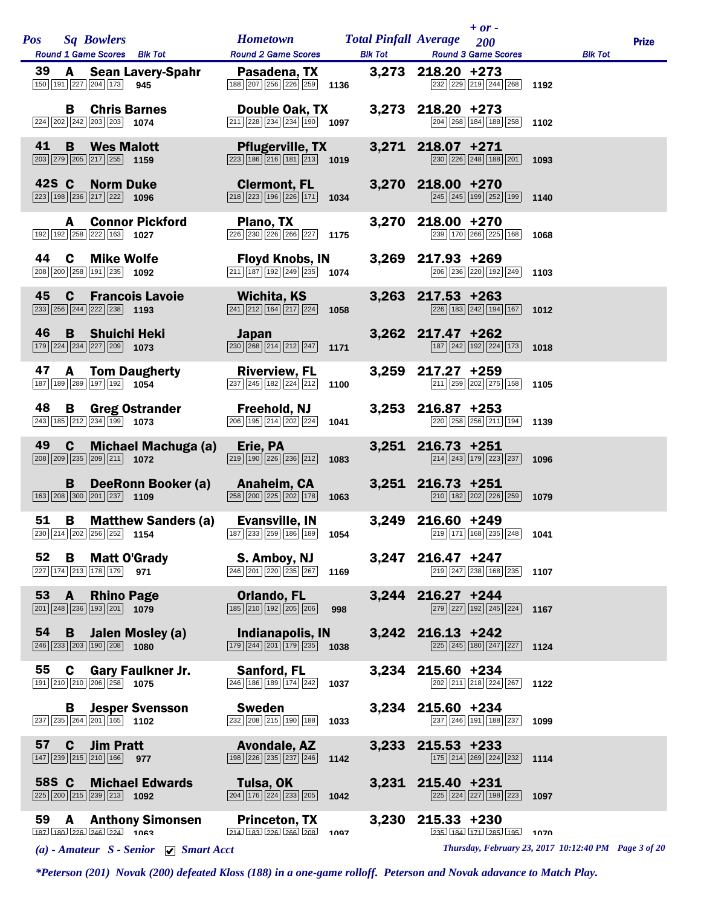| Pos Sq Bowlers                                                                                                       | Hometown Total Pinfall Average 200                                                                      |       | $+$ or -                                                                                               |                                                      | <b>Prize</b> |
|----------------------------------------------------------------------------------------------------------------------|---------------------------------------------------------------------------------------------------------|-------|--------------------------------------------------------------------------------------------------------|------------------------------------------------------|--------------|
| Round 1 Game Scores Blk Tot<br>39 A Sean Lavery-Spahr                                                                | <b>Round 2 Game Scores</b><br>Pasadena, TX 3,273 218.20 +273                                            |       | <b>Blk Tot Round 3 Game Scores</b>                                                                     | <b>Blk Tot</b>                                       |              |
| 150 191 227 204 173<br>945                                                                                           | 188 207 256 226 259 1136                                                                                |       | 232 229 219 244 268 1192                                                                               |                                                      |              |
| <b>B</b> Chris Barnes<br>$\boxed{224}$ $\boxed{202}$ $\boxed{242}$ $\boxed{203}$ $\boxed{203}$ 1074                  | Double Oak, TX<br>$\boxed{211}$ $\boxed{228}$ $\boxed{234}$ $\boxed{234}$ $\boxed{190}$ <b>1097</b>     |       | 3,273 218.20 +273<br>204 268 184 188 258 1102                                                          |                                                      |              |
| 41<br>B<br><b>Wes Malott</b><br>$\boxed{203}$ $\boxed{279}$ $\boxed{205}$ $\boxed{217}$ $\boxed{255}$ <b>1159</b>    | <b>Pflugerville, TX</b><br>$\boxed{223}$ 186 $\boxed{216}$ 181 $\boxed{213}$ 1019                       |       | 3,271 218.07 +271<br>230 226 248 188 201 1093                                                          |                                                      |              |
| 42S C<br><b>Norm Duke</b><br>223 198 236 217 222 1096                                                                | <b>Clermont, FL</b><br>218 223 196 226 171 1034                                                         |       | 3,270 218.00 +270<br>$\boxed{245}$ $\boxed{245}$ $\boxed{199}$ $\boxed{252}$ $\boxed{199}$ <b>1140</b> |                                                      |              |
| <b>Connor Pickford</b><br>A<br>192 192 258 222 163 1027                                                              | Plano, TX<br>226 230 226 266 227 1175                                                                   |       | 3,270 218.00 +270<br>239 170 266 225 168                                                               | 1068                                                 |              |
| 44<br>$\mathbf{c}$<br><b>Mike Wolfe</b><br>208 200 258 191 235 1092                                                  | Floyd Knobs, IN<br>$\overline{ 211 } 187   192   249   235 $ 1074                                       |       | 3,269 217.93 +269<br>206 236 220 192 249                                                               | 1103                                                 |              |
| 45<br><b>Francois Lavoie</b><br>$\mathbf{C}$<br>233 256 244 222 238 1193                                             | Wichita, KS<br>$\boxed{241}$ $\boxed{212}$ $\boxed{164}$ $\boxed{217}$ $\boxed{224}$ <b>1058</b>        |       | $3,263$ 217.53 +263<br>$\boxed{226}$ 183 242 194 167 1012                                              |                                                      |              |
| 46<br><b>Shuichi Heki</b><br>B<br>179 224 234 227 209 1073                                                           | <b>Japan</b><br>$\boxed{230}$ $\boxed{268}$ $\boxed{214}$ $\boxed{212}$ $\boxed{247}$ 1171              |       | 3,262 217.47 +262<br>187 242 192 224 173 1018                                                          |                                                      |              |
| 47<br><b>A</b> Tom Daugherty<br>$\boxed{187}$ $\boxed{189}$ $\boxed{289}$ $\boxed{197}$ $\boxed{192}$ <b>1054</b>    | <b>Riverview, FL</b><br>237 245 182 224 212<br>1100                                                     |       | 3,259 217.27 +259<br>211 259 202 275 158                                                               | 1105                                                 |              |
| 48<br>B<br>Greg Ostrander Freehold, NJ<br>243 185 212 234 199 1073                                                   | $\overline{206}$ 195 214 202 224 1041                                                                   |       | $3,253$ 216.87 +253<br>220 258 256 211 194 1139                                                        |                                                      |              |
| 49<br>$\mathbf{c}$<br>Michael Machuga (a)<br>208 209 235 209 211 1072                                                | Erie, PA<br>$\boxed{219}$ $\boxed{190}$ $\boxed{226}$ $\boxed{236}$ $\boxed{212}$<br>1083               |       | 3,251 216.73 +251<br>214 243 179 223 237                                                               | 1096                                                 |              |
| B<br>DeeRonn Booker (a)<br>163 208 300 201 237 1109                                                                  | <b>Anaheim, CA</b><br>$\boxed{258}$ $\boxed{200}$ $\boxed{225}$ $\boxed{202}$ $\boxed{178}$ <b>1063</b> |       | $3,251$ 216.73 +251<br>210 182 202 226 259 1079                                                        |                                                      |              |
| 51<br>$\mathbf{B}$<br><b>Matthew Sanders (a)</b><br>230 214 202 256 252 1154                                         | Evansville, IN<br>187 233 259 186 189 1054                                                              |       | 3,249 216.60 +249<br>219 171 168 235 248                                                               | 1041                                                 |              |
| 52<br>В<br><b>Matt O'Grady</b><br>227 174 213 178 179 971                                                            | S. Amboy, NJ<br>$\boxed{246}$ $\boxed{201}$ $\boxed{220}$ $\boxed{235}$ $\boxed{267}$<br>1169           |       | 3,247 216.47 +247<br>$\boxed{219}$ $\boxed{247}$ $\boxed{238}$ $\boxed{168}$ $\boxed{235}$ <b>1107</b> |                                                      |              |
| 53<br><b>Rhino Page</b><br>A<br>$\boxed{201}$ $\boxed{248}$ $\boxed{236}$ $\boxed{193}$ $\boxed{201}$ <b>1079</b>    | <b>Orlando, FL</b><br>$\boxed{185}$ $\boxed{210}$ $\boxed{192}$ $\boxed{205}$ $\boxed{206}$<br>998      |       | 3,244 216.27 +244<br>279 227 192 245 224                                                               | 1167                                                 |              |
| 54<br>B<br>Jalen Mosley (a)<br>$\boxed{246}$ $\boxed{233}$ $\boxed{203}$ $\boxed{190}$ $\boxed{208}$ 1080            | Indianapolis, IN<br>$\boxed{179}$ $\boxed{244}$ $\boxed{201}$ $\boxed{179}$ $\boxed{235}$ <b>1038</b>   |       | 3,242 216.13 +242<br>225 245 180 247 227                                                               | 1124                                                 |              |
| 55<br><b>Gary Faulkner Jr.</b><br>C<br>191 210 210 206 258 1075                                                      | Sanford, FL<br>246 186 189 174 242<br>1037                                                              |       | 3,234 215.60 +234<br>202 211 218 224 267                                                               | 1122                                                 |              |
| В<br><b>Jesper Svensson</b><br>$\boxed{237}$ $\boxed{235}$ $\boxed{264}$ $\boxed{201}$ $\boxed{165}$ 1102            | <b>Sweden</b><br>232 208 215 190 188<br>1033                                                            |       | 3,234 215.60 +234<br>237 246 191 188 237                                                               | 1099                                                 |              |
| 57<br><b>Jim Pratt</b><br>$\mathbf c$<br>147 239 215 210 166<br>977                                                  | <b>Avondale, AZ</b><br>198 226 235 237 246<br>1142                                                      |       | 3,233 215.53 +233<br>175 214 269 224 232                                                               | 1114                                                 |              |
| 58S C<br><b>Michael Edwards</b><br>$\boxed{225}$ $\boxed{200}$ $\boxed{215}$ $\boxed{239}$ $\boxed{213}$ <b>1092</b> | Tulsa, OK<br>204 176 224 233 205<br>1042                                                                |       | 3,231 215.40 +231<br>225 224 227 198 223                                                               | 1097                                                 |              |
| 59<br><b>Anthony Simonsen</b><br>A<br>$187$ $180$ $226$ $246$ $224$ $1063$                                           | <b>Princeton, TX</b><br>1007                                                                            | 3,230 | $215.33 + 230$<br>235 184 171 285 195                                                                  | 1070                                                 |              |
| (a) - Amateur $S$ - Senior $\forall$ Smart Acct                                                                      |                                                                                                         |       |                                                                                                        | Thursday, February 23, 2017 10:12:40 PM Page 3 of 20 |              |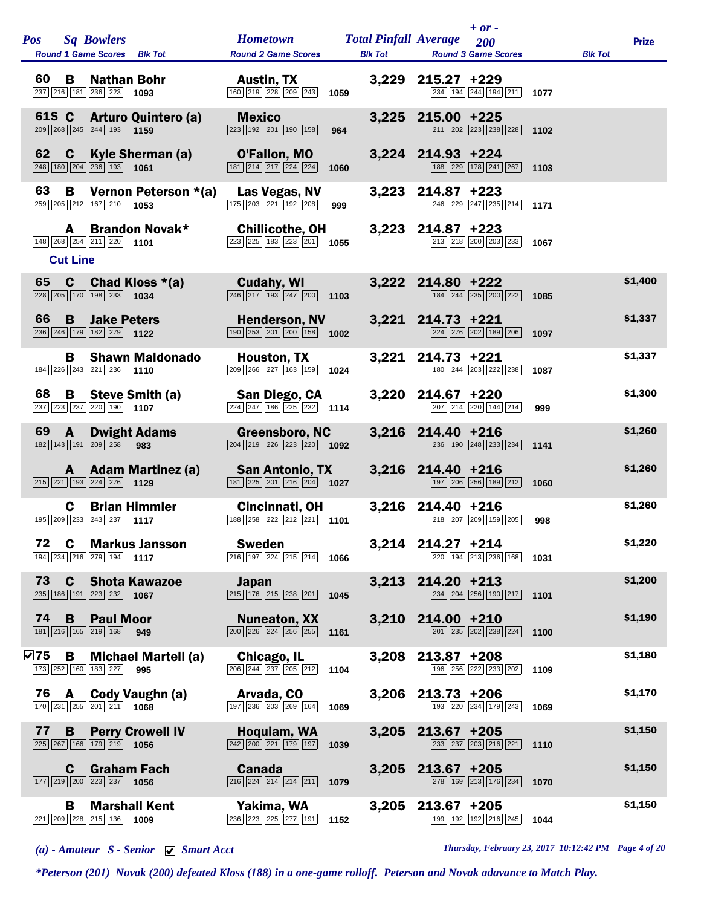| Pos         |       |                      | <b>Sq Bowlers</b><br>Round 1 Game Scores Blk Tot                                                        |                                   | <b>Hometown</b><br><b>Round 2 Game Scores</b>                                                       |      | <b>Total Pinfall Average</b><br><b>Blk Tot</b> |                     | $+ or -$<br>200<br><b>Round 3 Game Scores</b>                              |      | <b>Blk Tot</b> | <b>Prize</b> |
|-------------|-------|----------------------|---------------------------------------------------------------------------------------------------------|-----------------------------------|-----------------------------------------------------------------------------------------------------|------|------------------------------------------------|---------------------|----------------------------------------------------------------------------|------|----------------|--------------|
| 60          |       | B                    | <b>Nathan Bohr</b><br>237 216 181 236 223                                                               | 1093                              | <b>Austin, TX</b><br>160 219 228 209 243                                                            | 1059 | 3,229                                          | $215.27 +229$       | 234 194 244 194 211                                                        | 1077 |                |              |
|             | 61S C |                      | $\boxed{209}$ $\boxed{268}$ $\boxed{245}$ $\boxed{244}$ $\boxed{193}$ <b>1159</b>                       | <b>Arturo Quintero (a)</b>        | <b>Mexico</b><br>$\boxed{223}$ 192 201 190 158                                                      | 964  | 3,225                                          | $215.00 + 225$      | 211 202 223 238 228                                                        | 1102 |                |              |
| 62          |       | C                    | $\boxed{248}$ 180 $\boxed{204}$ $\boxed{236}$ 193 1061                                                  | <b>Kyle Sherman (a)</b>           | O'Fallon, MO<br>181 214 217 224 224                                                                 | 1060 |                                                | 3,224 214.93 +224   | 188 229 178 241 267                                                        | 1103 |                |              |
| 63<br>259   |       | В                    | 205 212 167 210 1053                                                                                    | Vernon Peterson *(a)              | Las Vegas, NV<br>175 203 221 192 208                                                                | 999  | 3,223                                          | $214.87 + 223$      | 246 229 247 235 214                                                        | 1171 |                |              |
|             |       | A<br><b>Cut Line</b> | 148 268 254 211 220 1101                                                                                | <b>Brandon Novak*</b>             | <b>Chillicothe, OH</b><br>223 225 183 223 201                                                       | 1055 | 3,223                                          | 214.87 +223         | 213 218 200 203 233                                                        | 1067 |                |              |
| 65          |       | $\mathbf c$          | 228 205 170 198 233 1034                                                                                | Chad Kloss *(a)                   | <b>Cudahy, WI</b><br>$\boxed{246}\boxed{217}\boxed{193}\boxed{247}\boxed{200}$                      | 1103 | 3,222                                          | 214.80 +222         | 184 244 235 200 222                                                        | 1085 |                | \$1,400      |
| 66          |       | B                    | <b>Jake Peters</b><br>236 246 179 182 279 1122                                                          |                                   | <b>Henderson, NV</b><br>190 253 201 200 158                                                         | 1002 |                                                | 3,221 214.73 +221   | 224 276 202 189 206                                                        | 1097 |                | \$1,337      |
|             |       | В                    | 184 226 243 221 236 1110                                                                                | <b>Shawn Maldonado</b>            | Houston, TX<br>209 266 227 163 159                                                                  | 1024 | 3,221                                          | $214.73 +221$       | 180 244 203 222 238                                                        | 1087 |                | \$1,337      |
| 68          |       | B                    | 237 223 237 220 190 1107                                                                                | Steve Smith (a)                   | San Diego, CA<br>$\sqrt{224}\sqrt{247}\sqrt{186}\sqrt{225}\sqrt{232}$                               | 1114 | 3,220                                          | 214.67 +220         | 207 214 220 144 214                                                        | 999  |                | \$1,300      |
| 69          |       | A                    | <b>Dwight Adams</b><br>182 143 191 209 258                                                              | 983                               | Greensboro, NC<br>$\boxed{204}$ $\boxed{219}$ $\boxed{226}$ $\boxed{223}$ $\boxed{220}$ <b>1092</b> |      | 3,216                                          | 214.40 +216         | 236 190 248 233 234                                                        | 1141 |                | \$1,260      |
|             |       | A                    | $\boxed{215}$ $\boxed{221}$ $\boxed{193}$ $\boxed{224}$ $\boxed{276}$ <b>1129</b>                       | <b>Adam Martinez (a)</b>          | <b>San Antonio, TX</b><br>181 225 201 216 204                                                       | 1027 | 3,216                                          | 214.40 +216         | 197 206 256 189 212                                                        | 1060 |                | \$1,260      |
|             |       | C                    | <b>Brian Himmler</b><br>195 209 233 243 237                                                             | 1117                              | Cincinnati, OH<br>188 258 222 212 221                                                               | 1101 | 3,216                                          | 214.40 +216         | 218 207 209 159 205                                                        | 998  |                | \$1,260      |
| 72          |       | C                    | 194 234 216 279 194 1117                                                                                | <b>Markus Jansson</b>             | <b>Sweden</b><br>$\boxed{216}$ 197 224 215 214 1066                                                 |      |                                                | 3,214 214.27 +214   | 220 194 213 236 168 1031                                                   |      |                | \$1,220      |
| 73          |       | $\mathbf c$          | 235 186 191 223 232 1067                                                                                | <b>Shota Kawazoe</b>              | <b>Japan</b><br>$\boxed{215}$ $\boxed{176}$ $\boxed{215}$ $\boxed{238}$ $\boxed{201}$               | 1045 |                                                | 3,213 214.20 +213   | 234 204 256 190 217 1101                                                   |      |                | \$1,200      |
| 74          |       | B.                   | <b>Paul Moor</b><br>181 216 165 219 168 949                                                             |                                   | <b>Nuneaton, XX</b><br>200 226 224 256 255                                                          | 1161 |                                                | 3,210 214.00 +210   | $\boxed{201}$ $\boxed{235}$ $\boxed{202}$ $\boxed{238}$ $\boxed{224}$ 1100 |      |                | \$1,190      |
| $\nabla$ 75 |       | В                    | 173 252 160 183 227                                                                                     | <b>Michael Martell (a)</b><br>995 | Chicago, IL<br>$\boxed{206}\boxed{244}\boxed{237}\boxed{205}\boxed{212}$                            | 1104 | 3,208                                          | $213.87 + 208$      | 196 256 222 233 202                                                        | 1109 |                | \$1,180      |
| 76          |       |                      | 170 231 255 201 211 1068                                                                                | A Cody Vaughn (a)                 | Arvada, CO<br>197 236 203 269 164                                                                   | 1069 |                                                | 3,206 213.73 +206   | 193 220 234 179 243                                                        | 1069 |                | \$1,170      |
| 77          |       | B                    | 225 267 166 179 219 1056                                                                                | <b>Perry Crowell IV</b>           | Hoquiam, WA<br>$\boxed{242}\boxed{200}\boxed{221}\boxed{179}\boxed{197}$                            | 1039 |                                                | $3,205$ 213.67 +205 | 233 237 203 216 221                                                        | 1110 |                | \$1,150      |
|             |       | C                    | <b>Graham Fach</b><br>$\boxed{177}$ $\boxed{219}$ $\boxed{200}$ $\boxed{223}$ $\boxed{237}$ <b>1056</b> |                                   | <b>Canada</b><br>$\boxed{216}$ $\boxed{224}$ $\boxed{214}$ $\boxed{214}$ $\boxed{211}$              | 1079 |                                                | $3,205$ 213.67 +205 | 278 169 213 176 234                                                        | 1070 |                | \$1,150      |
|             |       | B                    | <b>Marshall Kent</b><br>$\boxed{221}$ $\boxed{209}$ $\boxed{228}$ $\boxed{215}$ $\boxed{136}$ 1009      |                                   | Yakima, WA<br>236 223 225 277 191                                                                   | 1152 | 3,205                                          | $213.67 + 205$      | 199 192 192 216 245                                                        | 1044 |                | \$1,150      |

*(a) - Amateur S - Senior Smart Acct Thursday, February 23, 2017 10:12:42 PM Page 4 of 20*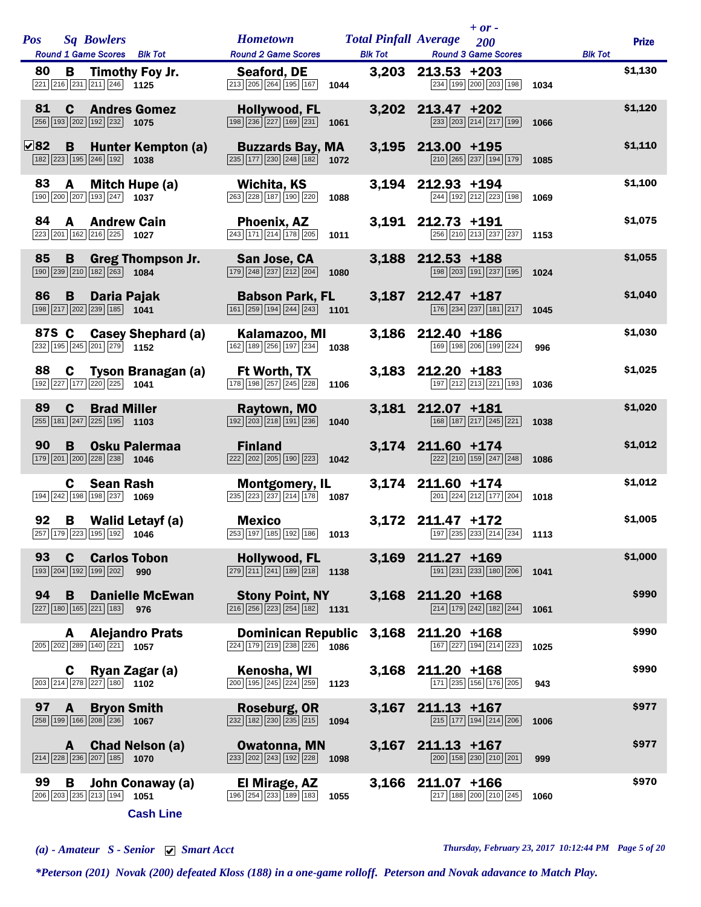| <b>Pos</b>  | <b>Sq Bowlers</b><br>Round 1 Game Scores Blk Tot                                                                 | <b>Hometown</b><br><b>Round 2 Game Scores</b>                                                              | <b>Total Pinfall Average</b><br><b>Blk Tot</b> | $+ or -$<br>200<br><b>Round 3 Game Scores</b>                                                    | <b>Blk Tot</b> | <b>Prize</b> |
|-------------|------------------------------------------------------------------------------------------------------------------|------------------------------------------------------------------------------------------------------------|------------------------------------------------|--------------------------------------------------------------------------------------------------|----------------|--------------|
| 80          | Timothy Foy Jr.<br>B.<br>$\boxed{221}\boxed{216}\boxed{231}\boxed{211}\boxed{246}$ 1125                          | Seaford, DE<br>$\boxed{213}$ $\boxed{205}$ $\boxed{264}$ $\boxed{195}$ $\boxed{167}$<br>1044               | 3,203                                          | $213.53 + 203$<br>234 199 200 203 198                                                            | 1034           | \$1,130      |
| 81<br>256   | $\mathbf{C}$<br><b>Andres Gomez</b><br>193 202 192 232 1075                                                      | Hollywood, FL<br>198 236 227 169 231<br>1061                                                               | 3,202                                          | 213.47 +202<br>233 203 214 217 199                                                               | 1066           | \$1,120      |
| $\nabla$ 82 | B<br>Hunter Kempton (a)<br>182 223 195 246 192<br>1038                                                           | <b>Buzzards Bay, MA</b><br>$\boxed{235}$ $\boxed{177}$ $\boxed{230}$ $\boxed{248}$ $\boxed{182}$<br>1072   | 3,195                                          | 213.00 +195<br>210 265 237 194 179                                                               | 1085           | \$1,110      |
| 83          | Mitch Hupe (a)<br>A<br>190 200 207 193 247 1037                                                                  | Wichita, KS<br>263 228 187 190 220<br>1088                                                                 | 3.194                                          | 212.93 +194<br>244 192 212 223 198                                                               | 1069           | \$1,100      |
| 84          | A<br><b>Andrew Cain</b><br>223 201 162 216 225 1027                                                              | <b>Phoenix, AZ</b><br>$\boxed{243}$ $\boxed{171}$ $\boxed{214}$ $\boxed{178}$ $\boxed{205}$<br>1011        | 3,191                                          | 212.73 +191<br>256 210 213 237 237                                                               | 1153           | \$1,075      |
| 85          | B<br><b>Greg Thompson Jr.</b><br>190 239 210 182 263 1084                                                        | San Jose, CA<br>179 248 237 212 204<br>1080                                                                | 3,188                                          | 212.53 +188<br>198 203 191 237 195                                                               | 1024           | \$1,055      |
| 86          | B<br>Daria Pajak<br>198 217 202 239 185 1041                                                                     | <b>Babson Park, FL</b><br>161 259 194 244 243<br>1101                                                      | 3,187                                          | 212.47 +187<br>176 234 237 181 217                                                               | 1045           | \$1,040      |
| 87S C       | <b>Casey Shephard (a)</b><br>232 195 245 201 279 1152                                                            | Kalamazoo, MI<br>162 189 256 197 234<br>1038                                                               | 3,186                                          | 212.40 +186<br>169 198 206 199 224                                                               | 996            | \$1,030      |
| 88          | C Tyson Branagan (a)<br>192 227 177 220 225 1041                                                                 | <b>Ft Worth, TX</b><br>178 198 257 245 228<br>1106                                                         |                                                | 3,183 212.20 +183<br>197 212 213 221 193                                                         | 1036           | \$1,025      |
| 89          | $\mathbf C$<br><b>Brad Miller</b><br>$\boxed{255}$ 181 $\boxed{247}$ $\boxed{225}$ 195 1103                      | Raytown, MO<br>$\boxed{192}\boxed{203}\boxed{218}\boxed{191}\boxed{236}$<br>1040                           | 3,181                                          | 212.07 +181<br>168 187 217 245 221                                                               | 1038           | \$1,020      |
| 90          | B<br><b>Osku Palermaa</b><br>179 201 200 228 238<br>1046                                                         | <b>Finland</b><br>222 202 205 190 223<br>1042                                                              |                                                | 3,174 211.60 +174<br>222 210 159 247 248                                                         | 1086           | \$1,012      |
|             | <b>Sean Rash</b><br>C<br>194 242 198 198 237<br>1069                                                             | <b>Montgomery, IL</b><br>$\boxed{235}$ $\boxed{223}$ $\boxed{237}$ $\boxed{214}$ $\boxed{178}$ <b>1087</b> |                                                | 3,174 211.60 +174<br>201 224 212 177 204                                                         | 1018           | \$1,012      |
| 92          | B<br>Walid Letayf (a)<br>257 179 223 195 192 1046                                                                | <b>Mexico</b><br>253 197 185 192 186 1013                                                                  | 3,172                                          | 211.47 +172<br>$\boxed{197}$ $\boxed{235}$ $\boxed{233}$ $\boxed{214}$ $\boxed{234}$ <b>1113</b> |                | \$1,005      |
| 93          | <b>Carlos Tobon</b><br>C<br>193 204 192 199 202<br>990                                                           | Hollywood, FL<br>$\boxed{279}$ $\boxed{211}$ $\boxed{241}$ $\boxed{189}$ $\boxed{218}$<br>1138             | 3,169                                          | $211.27 + 169$<br>191 231 233 180 206                                                            | 1041           | \$1,000      |
| 94          | B<br><b>Danielle McEwan</b><br>227 180 165 221 183<br>976                                                        | <b>Stony Point, NY</b><br>$\boxed{216}$ $\boxed{256}$ $\boxed{223}$ $\boxed{254}$ $\boxed{182}$ 1131       | 3,168                                          | $211.20 + 168$<br>214 179 242 182 244                                                            | 1061           | \$990        |
|             | <b>Alejandro Prats</b><br>A<br>205 202 289 140 221 1057                                                          | <b>Dominican Republic</b><br>224 179 219 238 226<br>1086                                                   | 3,168                                          | 211.20 +168<br>167 227 194 214 223                                                               | 1025           | \$990        |
|             | Ryan Zagar (a)<br>C<br>203 214 278 227 180 1102                                                                  | Kenosha, WI<br>200 195 245 224 259<br>1123                                                                 | 3,168                                          | 211.20 +168<br>171 235 156 176 205                                                               | 943            | \$990        |
| 97          | <b>Bryon Smith</b><br>A<br>258 199 166 208 236 1067                                                              | Roseburg, OR<br>$\boxed{232}$ $\boxed{182}$ $\boxed{230}$ $\boxed{235}$ $\boxed{215}$<br>1094              | 3,167                                          | $211.13 + 167$<br>215 177 194 214 206                                                            | 1006           | \$977        |
|             | <b>Chad Nelson (a)</b><br>A<br>$\boxed{214}$ $\boxed{228}$ $\boxed{236}$ $\boxed{207}$ $\boxed{185}$ <b>1070</b> | <b>Owatonna, MN</b><br>233 202 243 192 228<br>1098                                                         | 3,167                                          | $211.13 + 167$<br>200 158 230 210 201                                                            | 999            | \$977        |
| 99          | John Conaway (a)<br>В<br>206 203 235 213 194 1051<br><b>Cash Line</b>                                            | El Mirage, AZ<br>196 254 233 189 183<br>1055                                                               | 3,166                                          | 211.07 +166<br>$\boxed{217}$ 188 200 210 245                                                     | 1060           | \$970        |

*(a) - Amateur S - Senior Smart Acct Thursday, February 23, 2017 10:12:44 PM Page 5 of 20*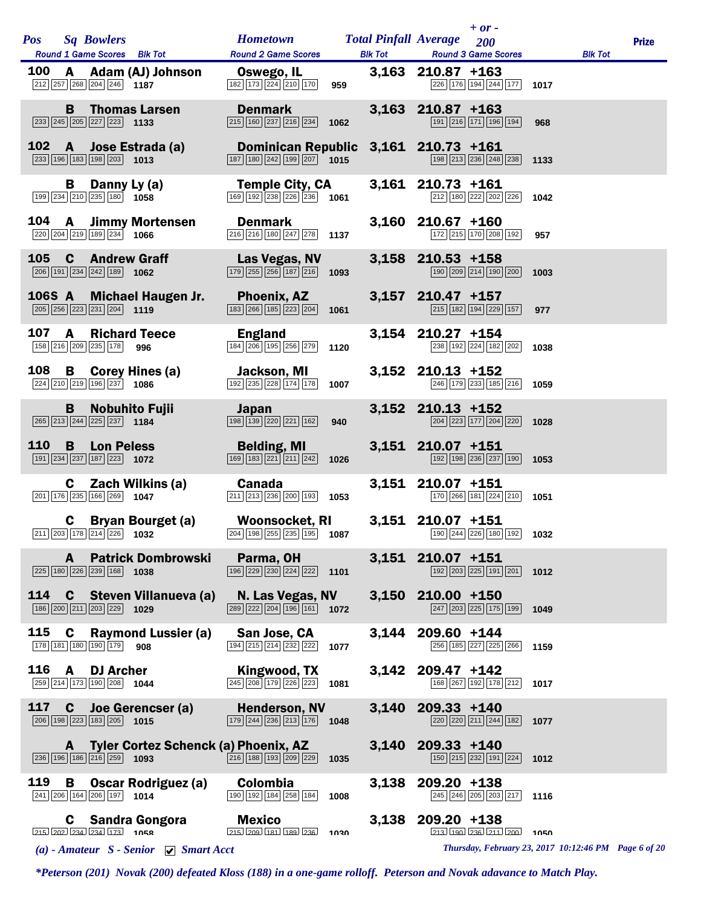| <b>Pos</b><br><b>Sq Bowlers</b>                                                                                   | <b>Hometown Total Pinfall Average</b>                                                                                     |       | $+$ or -<br>200                                      |                                                      | <b>Prize</b> |
|-------------------------------------------------------------------------------------------------------------------|---------------------------------------------------------------------------------------------------------------------------|-------|------------------------------------------------------|------------------------------------------------------|--------------|
| Round 1 Game Scores Blk Tot                                                                                       | <b>Round 2 Game Scores</b>                                                                                                |       | <b>Blk Tot Round 3 Game Scores</b>                   | <b>Blk Tot</b>                                       |              |
| 100<br>A Adam (AJ) Johnson<br>$\boxed{212}$ $\boxed{257}$ $\boxed{268}$ $\boxed{204}$ $\boxed{246}$ <b>1187</b>   | <b>Oswego, IL</b><br>182 173 224 210 170<br>959                                                                           |       | $3,163$ 210.87 +163<br>$\boxed{226}$ 176 194 244 177 | 1017                                                 |              |
| <b>B</b> Thomas Larsen<br>$\boxed{233}$ $\boxed{245}$ $\boxed{205}$ $\boxed{227}$ $\boxed{223}$ <b>1133</b>       | <b>Denmark</b><br>$\boxed{215}$ $\boxed{160}$ $\boxed{237}$ $\boxed{216}$ $\boxed{234}$<br>1062                           |       | $3,163$ 210.87 +163<br>191 216 171 196 194           | 968                                                  |              |
| 102<br>A Jose Estrada (a)<br>$\boxed{233}$ 196 183 198 203 1013                                                   | Dominican Republic 3,161 210.73 +161<br>$\boxed{187}$ $\boxed{180}$ $\boxed{242}$ $\boxed{199}$ $\boxed{207}$ <b>1015</b> |       | 198 213 236 248 238 1133                             |                                                      |              |
| В<br>Danny Ly (a)<br>$\boxed{199}$ $\boxed{234}$ $\boxed{210}$ $\boxed{235}$ $\boxed{180}$ 1058                   | <b>Temple City, CA</b><br>$\boxed{169}$ $\boxed{192}$ $\boxed{238}$ $\boxed{226}$ $\boxed{236}$ 1061                      |       | 3,161 210.73 +161<br>212 180 222 202 226             | 1042                                                 |              |
| 104 A Jimmy Mortensen<br>$\boxed{220}\boxed{204}\boxed{219}\boxed{189}\boxed{234}$ 1066                           | <b>Denmark</b><br>$\boxed{216}$ $\boxed{216}$ $\boxed{180}$ $\boxed{247}$ $\boxed{278}$ <b>1137</b>                       |       | $3,160$ 210.67 +160<br>172 215 170 208 192           | 957                                                  |              |
| 105<br><b>C</b> Andrew Graff<br>$\boxed{206}$ 191 $\boxed{234}$ $\boxed{242}$ 189 1062                            | Las Vegas, NV<br>$\boxed{179}$ $\boxed{255}$ $\boxed{256}$ $\boxed{187}$ $\boxed{216}$ <b>1093</b>                        |       | 3,158 210.53 +158<br>190 209 214 190 200             | 1003                                                 |              |
| 106S A<br><b>Michael Haugen Jr.</b><br>$\boxed{205}$ $\boxed{256}$ $\boxed{223}$ $\boxed{231}$ $\boxed{204}$ 1119 | <b>Phoenix, AZ</b><br>183 266 185 223 204<br>1061                                                                         |       | 3,157 210.47 +157<br>215 182 194 229 157             | 977                                                  |              |
| 107<br><b>Richard Teece</b><br>A<br>158 216 209 235 178 996                                                       | <b>England</b><br>$\boxed{184}$ $\boxed{206}$ $\boxed{195}$ $\boxed{256}$ $\boxed{279}$ <b>1120</b>                       |       | 3,154 210.27 +154<br>238 192 224 182 202             | 1038                                                 |              |
| 108 B Corey Hines (a)<br>224 210 219 196 237 1086                                                                 | Jackson, MI<br>$\boxed{192}$ $\boxed{235}$ $\boxed{228}$ $\boxed{174}$ $\boxed{178}$<br>1007                              |       | 3,152 210.13 +152<br>246 179 233 185 216 1059        |                                                      |              |
| <b>Nobuhito Fujii</b><br>B<br>$\boxed{265}$ $\boxed{213}$ $\boxed{244}$ $\boxed{225}$ $\boxed{237}$ 1184          | Japan<br>$\boxed{198}$ $\boxed{139}$ $\boxed{220}$ $\boxed{221}$ $\boxed{162}$<br>940                                     |       | 3,152 210.13 +152<br>204 223 177 204 220             | 1028                                                 |              |
| 110<br>B<br><b>Lon Peless</b><br>191 234 237 187 223 1072                                                         | <b>Belding, MI</b><br>169 183 221 211 242<br>1026                                                                         |       | 3,151 210.07 +151<br>192 198 236 237 190 1053        |                                                      |              |
| C Zach Wilkins (a)<br>$\boxed{201}$ 176 $\boxed{235}$ 166 $\boxed{269}$ 1047                                      | Canada<br>211 213 236 200 193 1053                                                                                        |       | 3,151 210.07 +151<br>170 266 181 224 210             | 1051                                                 |              |
| <b>C</b> Bryan Bourget (a)<br>$\boxed{211}$ $\boxed{203}$ 178 $\boxed{214}$ $\boxed{226}$ 1032                    | <b>Woonsocket, RI</b><br>$\boxed{204}$ 198 255 235 195 1087 190 244 226 180 192 1032                                      |       | 3,151 210.07 +151                                    |                                                      |              |
| <b>Patrick Dombrowski</b><br>A<br>$\boxed{225}$ 180 $\boxed{226}$ $\boxed{239}$ 168 1038                          | Parma, OH<br>196 229 230 224 222<br>1101                                                                                  |       | 3,151 210.07 +151<br>192 203 225 191 201             | 1012                                                 |              |
| 114<br>Steven Villanueva (a)<br>C<br>186 200 211 203 229 1029                                                     | N. Las Vegas, NV<br>289 222 204 196 161<br>1072                                                                           |       | 3,150 210.00 +150<br>247 203 225 175 199             | 1049                                                 |              |
| 115<br>C<br><b>Raymond Lussier (a)</b><br>178 181 180 190 179<br>908                                              | San Jose, CA<br>194 215 214 232 222<br>1077                                                                               | 3.144 | 209.60 +144<br>256 185 227 225 266                   | 1159                                                 |              |
| 116<br><b>DJ Archer</b><br>A<br>259 214 173 190 208 1044                                                          | Kingwood, TX<br>245 208 179 226 223<br>1081                                                                               | 3,142 | 209.47 +142<br>168 267 192 178 212                   | 1017                                                 |              |
| 117<br>$\mathbf c$<br>Joe Gerencser (a)<br>$\boxed{206}$ 198 $\boxed{223}$ 183 $\boxed{205}$ 1015                 | <b>Henderson, NV</b><br>$\boxed{179}$ $\boxed{244}$ $\boxed{236}$ $\boxed{213}$ $\boxed{176}$<br>1048                     | 3,140 | $209.33 + 140$<br>220 220 211 244 182                | 1077                                                 |              |
| A<br>$\boxed{236}$ $\boxed{196}$ $\boxed{186}$ $\boxed{216}$ $\boxed{259}$ 1093                                   | Tyler Cortez Schenck (a) Phoenix, AZ<br>$\boxed{216}$ 188 193 209 229<br>1035                                             | 3,140 | $209.33 + 140$<br>150 215 232 191 224                | 1012                                                 |              |
| 119<br>В<br><b>Oscar Rodriguez (a)</b><br>241 206 164 206 197 1014                                                | Colombia<br>190 192 184 258 184<br>1008                                                                                   | 3,138 | 209.20 +138<br>245 246 205 203 217                   | 1116                                                 |              |
| <b>Sandra Gongora</b><br>C<br>$215$ $202$ $234$ $234$ $173$ $1058$                                                | <b>Mexico</b><br>215 209 181 189 236<br>1030                                                                              | 3,138 | 209.20 +138<br>$213$ $190$ $236$ $211$ $200$         | 1050                                                 |              |
| (a) - Amateur $S$ - Senior $\bigtriangledown$ Smart Acct                                                          |                                                                                                                           |       |                                                      | Thursday, February 23, 2017 10:12:46 PM Page 6 of 20 |              |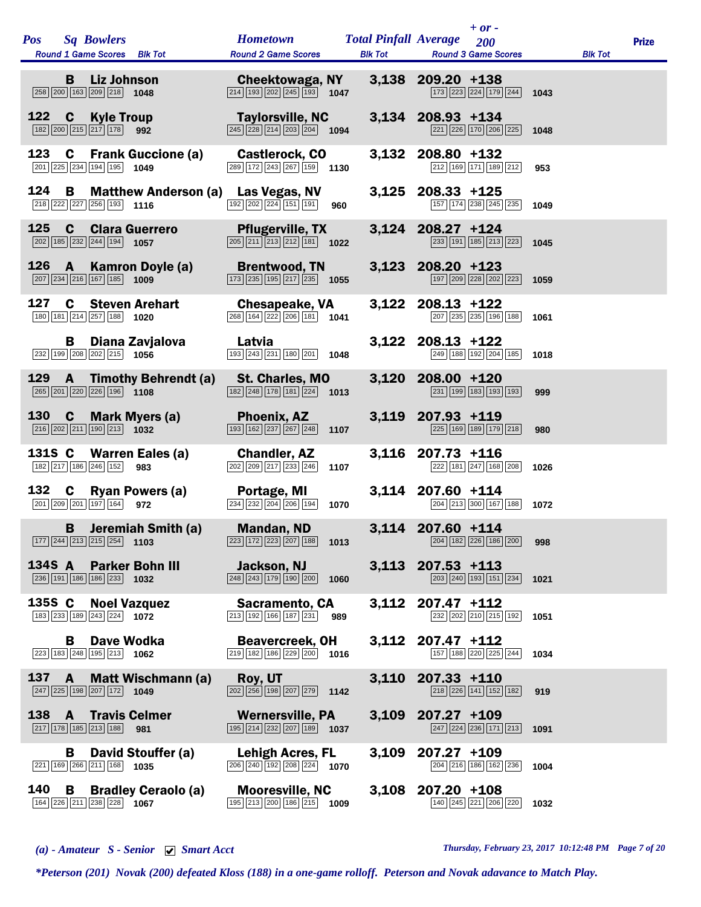| <b>Pos</b> |              | <b>Sq Bowlers</b><br>Round 1 Game Scores Blk Tot                                  |                                   | <b>Hometown</b><br><b>Round 2 Game Scores</b>                                                                                         | <b>Total Pinfall Average</b> |                     | $+$ or -<br>200<br><b>Blk Tot Round 3 Game Scores</b>                 |      | <b>Blk Tot</b> | <b>Prize</b> |
|------------|--------------|-----------------------------------------------------------------------------------|-----------------------------------|---------------------------------------------------------------------------------------------------------------------------------------|------------------------------|---------------------|-----------------------------------------------------------------------|------|----------------|--------------|
|            | B            | <b>Liz Johnson</b><br>258 200 163 209 218 1048                                    |                                   | Cheektowaga, NY<br>$\boxed{214}$ $\boxed{193}$ $\boxed{202}$ $\boxed{245}$ $\boxed{193}$ <b>1047</b>                                  |                              | 3,138 209.20 +138   | 173 223 224 179 244                                                   | 1043 |                |              |
| 122        | C            | <b>Kyle Troup</b><br>$182$ $200$ $215$ $217$ $178$                                | 992                               | <b>Taylorsville, NC</b><br>$\overline{ 245 }$ $\overline{ 228 }$ $\overline{ 214 }$ $\overline{ 203 }$ $\overline{ 204 }$ <b>1094</b> |                              | 3,134 208.93 +134   | $\boxed{221}$ $\boxed{226}$ $\boxed{170}$ $\boxed{206}$ $\boxed{225}$ | 1048 |                |              |
| 123        | C            | 201 225 234 194 195                                                               | <b>Frank Guccione (a)</b><br>1049 | Castlerock, CO<br>289 172 243 267 159 1130                                                                                            |                              | 3,132 208.80 +132   | 212 169 171 189 212                                                   | 953  |                |              |
| 124        | B            | 218 222 227 256 193                                                               | 1116                              | <b>Matthew Anderson (a) Las Vegas, NV</b><br>$\boxed{192}$ $\boxed{202}$ $\boxed{224}$ $\boxed{151}$ $\boxed{191}$<br>960             |                              | 3,125 208.33 +125   | 157 174 238 245 235                                                   | 1049 |                |              |
| 125        | $\mathbf c$  | 202 185 232 244 194                                                               | <b>Clara Guerrero</b><br>1057     | <b>Pflugerville, TX</b><br>$\overline{205}$ $\overline{211}$ $\overline{213}$ $\overline{212}$ 181 1022                               |                              | 3,124 208.27 +124   | 233 191 185 213 223                                                   | 1045 |                |              |
| 126        | A            | $\boxed{207}$ $\boxed{234}$ $\boxed{216}$ $\boxed{167}$ $\boxed{185}$ <b>1009</b> | Kamron Doyle (a)                  | <b>Brentwood, TN</b><br>$\boxed{173}$ $\boxed{235}$ $\boxed{195}$ $\boxed{217}$ $\boxed{235}$ <b>1055</b>                             |                              | 3,123 208.20 +123   | 197 209 228 202 223                                                   | 1059 |                |              |
| 127        | C            | 180 181 214 257 188                                                               | <b>Steven Arehart</b><br>1020     | <b>Chesapeake, VA</b><br>$\boxed{268}$ 164 $\boxed{222}$ 206 181 1041                                                                 |                              | 3,122 208.13 +122   | 207 235 235 196 188                                                   | 1061 |                |              |
|            | B.           | 232 199 208 202 215 1056                                                          | Diana Zavjalova                   | Latvia<br>193 243 231 180 201<br>1048                                                                                                 |                              | 3,122 208.13 +122   | 249 188 192 204 185                                                   | 1018 |                |              |
| 129        | A            | 265 201 220 226 196 1108                                                          | <b>Timothy Behrendt (a)</b>       | St. Charles, MO<br>$\boxed{182}\boxed{248}\boxed{178}\boxed{181}\boxed{224}$ 1013                                                     |                              | 3,120 208.00 +120   | 231 199 183 193 193                                                   | 999  |                |              |
| 130        | $\mathbf c$  | $\boxed{216}$ $\boxed{202}$ $\boxed{211}$ $\boxed{190}$ $\boxed{213}$ <b>1032</b> | Mark Myers (a)                    | Phoenix, AZ<br>$\boxed{193}$ $\boxed{162}$ $\boxed{237}$ $\boxed{267}$ $\boxed{248}$<br>1107                                          |                              | 3,119 207.93 +119   | 225 169 189 179 218                                                   | 980  |                |              |
| 131S C     |              | 182 217 186 246 152                                                               | Warren Eales (a)<br>983           | <b>Chandler, AZ</b><br>$\overline{ 202   209   217   233   246 }$<br>1107                                                             |                              | 3,116 207.73 +116   | 222 181 247 168 208                                                   | 1026 |                |              |
| 132        | $\mathbf c$  | 201 209 201 197 164                                                               | <b>Ryan Powers (a)</b><br>972     | Portage, MI<br>$\boxed{234}$ $\boxed{232}$ $\boxed{204}$ $\boxed{206}$ $\boxed{194}$<br>1070                                          |                              | 3,114 207.60 +114   | $\boxed{204}$ $\boxed{213}$ $\boxed{300}$ $\boxed{167}$ $\boxed{188}$ | 1072 |                |              |
|            | B            | 177 244 213 215 254 1103                                                          | Jeremiah Smith (a)                | <b>Mandan, ND</b><br>223 172 223 207 188<br>1013                                                                                      |                              | 3,114 207.60 +114   | $\boxed{204}$ $\boxed{182}$ $\boxed{226}$ $\boxed{186}$ $\boxed{200}$ | 998  |                |              |
| 134S A     |              | 236 191 186 186 233 1032                                                          | <b>Parker Bohn III</b>            | Jackson, NJ<br>$\boxed{248}$ $\boxed{243}$ $\boxed{179}$ $\boxed{190}$ $\boxed{200}$<br>1060                                          |                              | $3,113$ 207.53 +113 | $\boxed{203}$ $\boxed{240}$ $\boxed{193}$ $\boxed{151}$ $\boxed{234}$ | 1021 |                |              |
| 135S C     |              | 183 233 189 243 224 1072                                                          | <b>Noel Vazquez</b>               | <b>Sacramento, CA</b><br>$\boxed{213}$ $\boxed{192}$ $\boxed{166}$ $\boxed{187}$ $\boxed{231}$ 989                                    |                              | 3,112 207.47 +112   | 232 202 210 215 192                                                   | 1051 |                |              |
|            | В            | 223 183 248 195 213 1062                                                          | Dave Wodka                        | <b>Beavercreek, OH</b><br>$\boxed{219}$ 182 186 229 200 1016                                                                          |                              | 3,112 207.47 +112   | 157 188 220 225 244                                                   | 1034 |                |              |
| 137        | $\mathbf{A}$ | $\boxed{247}$ $\boxed{225}$ 198 $\boxed{207}$ 172 1049                            | <b>Matt Wischmann (a)</b>         | Roy, UT<br>$\boxed{202}$ $\boxed{256}$ $\boxed{198}$ $\boxed{207}$ $\boxed{279}$ 1142                                                 |                              | 3,110 207.33 +110   | 218 226 141 152 182                                                   | 919  |                |              |
|            |              | $\boxed{217}$ $\boxed{178}$ $\boxed{185}$ $\boxed{213}$ $\boxed{188}$             | 138 A Travis Celmer<br>981        | <b>Wernersville, PA</b><br>$\boxed{195}$ $\boxed{214}$ $\boxed{232}$ $\boxed{207}$ $\boxed{189}$ <b>1037</b>                          |                              | 3,109 207.27 +109   | $\boxed{247}$ $\boxed{224}$ $\boxed{236}$ $\boxed{171}$ $\boxed{213}$ | 1091 |                |              |
|            | В            | 221 169 266 211 168 1035                                                          | David Stouffer (a)                | <b>Lehigh Acres, FL</b><br>$\boxed{206}$ $\boxed{240}$ $\boxed{192}$ $\boxed{208}$ $\boxed{224}$ <b>1070</b>                          | 3,109                        | $207.27 + 109$      | 204 216 186 162 236                                                   | 1004 |                |              |
| 140        | B            | 164 226 211 238 228 1067                                                          | <b>Bradley Ceraolo (a)</b>        | <b>Mooresville, NC</b><br>$\boxed{195}$ $\boxed{213}$ $\boxed{200}$ $\boxed{186}$ $\boxed{215}$ <b>1009</b>                           |                              | 3,108 207.20 +108   | 140 245 221 206 220                                                   | 1032 |                |              |
|            |              |                                                                                   |                                   |                                                                                                                                       |                              |                     |                                                                       |      |                |              |

*(a) - Amateur S - Senior Smart Acct Thursday, February 23, 2017 10:12:48 PM Page 7 of 20*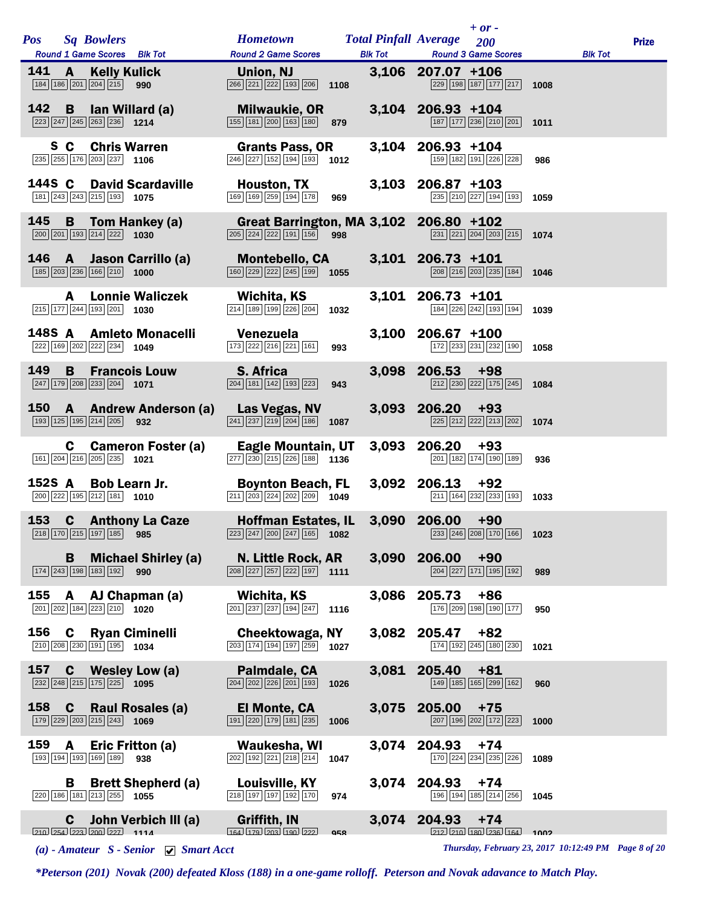| <b>Pos</b> | <b>Sq Bowlers</b>                                                                                                       | Hometown Total Pinfall Average 200                                                                                  |                | $+ or -$                                                                                                |      |                | <b>Prize</b> |
|------------|-------------------------------------------------------------------------------------------------------------------------|---------------------------------------------------------------------------------------------------------------------|----------------|---------------------------------------------------------------------------------------------------------|------|----------------|--------------|
|            | Round 1 Game Scores Blk Tot                                                                                             | <b>Round 2 Game Scores</b>                                                                                          | <b>Blk Tot</b> | <b>Round 3 Game Scores</b>                                                                              |      | <b>Blk Tot</b> |              |
| 141 A      | <b>Kelly Kulick</b><br>$\boxed{184}$ $\boxed{186}$ $\boxed{201}$ $\boxed{204}$ $\boxed{215}$ 990                        | Union, NJ <b>Example 19</b><br>$\overline{266}$ $\overline{221}$ $\overline{222}$ 193 $\overline{206}$ 1108         |                | 3,106 207.07 +106<br>229 198 187 177 217                                                                | 1008 |                |              |
| 142        | <b>B</b> lan Willard (a)                                                                                                | <b>Milwaukie, OR</b><br>$\boxed{155}$ $\boxed{181}$ $\boxed{200}$ $\boxed{163}$ $\boxed{180}$ 879                   |                | 3,104 206.93 +104<br>$\boxed{187}$ $\boxed{177}$ $\boxed{236}$ $\boxed{210}$ $\boxed{201}$ <b>1011</b>  |      |                |              |
|            | S C<br><b>Chris Warren</b><br>$\overline{235}$ $\overline{255}$ $\overline{176}$ $\overline{203}$ $\overline{237}$ 1106 | <b>Grants Pass, OR</b><br>$\overline{246}$ $\overline{227}$ 152 194 193 1012                                        |                | 3,104 206.93 +104<br>159 182 191 226 228                                                                | 986  |                |              |
| 144S C     | <b>David Scardaville</b><br>181 243 243 215 193 1075                                                                    | <b>Houston, TX</b><br>$\boxed{169}$ $\boxed{169}$ $\boxed{259}$ $\boxed{194}$ $\boxed{178}$<br>969                  |                | 3,103 206.87 +103<br>235 210 227 194 193                                                                | 1059 |                |              |
|            | 145 B Tom Hankey (a)<br>$\boxed{200}$ $\boxed{201}$ $\boxed{193}$ $\boxed{214}$ $\boxed{222}$ <b>1030</b>               | Great Barrington, MA 3,102 206.80 +102<br>$\boxed{205}$ $\boxed{224}$ $\boxed{222}$ $\boxed{191}$ $\boxed{156}$ 998 |                | 231 221 204 203 215                                                                                     | 1074 |                |              |
|            | 146 A Jason Carrillo (a)<br>$\boxed{185}$ $\boxed{203}$ $\boxed{236}$ $\boxed{166}$ $\boxed{210}$ <b>1000</b>           | <b>Montebello, CA</b><br>$\boxed{160}$ $\boxed{229}$ $\boxed{222}$ $\boxed{245}$ $\boxed{199}$ <b>1055</b>          |                | 3,101 206.73 +101<br>208 216 203 235 184                                                                | 1046 |                |              |
|            | <b>Lonnie Waliczek</b><br>A<br>215 177 244 193 201 1030                                                                 | Wichita, KS<br>$\boxed{214}$ 189 199 226 204 1032                                                                   |                | 3,101 206.73 +101<br>184 226 242 193 194                                                                | 1039 |                |              |
|            | 148S A Amleto Monacelli<br>222 169 202 222 234 1049                                                                     | Venezuela<br>$\boxed{173}$ $\boxed{222}$ $\boxed{216}$ $\boxed{221}$ $\boxed{161}$<br>993                           |                | 3,100 206.67 +100<br>172 233 231 232 190                                                                | 1058 |                |              |
| 149        | <b>Francois Louw</b><br>B.<br>$\boxed{247}$ 179 208 233 204 1071                                                        | <b>S. Africa</b><br>$\boxed{204}$ 181 142 193 223<br>943                                                            |                | 3,098 206.53 +98<br>212 230 222 175 245                                                                 | 1084 |                |              |
| 150        | <b>A</b> Andrew Anderson (a)<br>193 125 195 214 205 932                                                                 | Las Vegas, NV<br>$\boxed{241}$ $\boxed{237}$ $\boxed{219}$ $\boxed{204}$ $\boxed{186}$ 1087                         |                | $3,093$ 206.20 +93<br>$\boxed{225}$ $\boxed{212}$ $\boxed{222}$ $\boxed{213}$ $\boxed{202}$ <b>1074</b> |      |                |              |
|            | C.<br><b>Cameron Foster (a)</b><br>161 204 216 205 235 1021                                                             | Eagle Mountain, UT<br>$\boxed{277}$ $\boxed{230}$ $\boxed{215}$ $\boxed{226}$ $\boxed{188}$ 1136                    | 3,093          | 206.20<br>$+93$<br>201 182 174 190 189                                                                  | 936  |                |              |
|            | 152S A Bob Learn Jr.<br>200 222 195 212 181 1010                                                                        | <b>Boynton Beach, FL</b><br>$\boxed{211}$ $\boxed{203}$ $\boxed{224}$ $\boxed{202}$ $\boxed{209}$ 1049              |                | $3,092$ 206.13 +92<br>211 164 232 233 193                                                               | 1033 |                |              |
|            | 153 C Anthony La Caze<br>218 170 215 197 185 985                                                                        | <b>Hoffman Estates, IL</b><br>$\boxed{223}$ $\boxed{247}$ $\boxed{200}$ $\boxed{247}$ $\boxed{165}$ <b>1082</b>     |                | $3,090$ 206.00 +90<br>233 246 208 170 166 1023                                                          |      |                |              |
|            | <b>B</b> Michael Shirley (a)<br>$\boxed{174}$ $\boxed{243}$ $\boxed{198}$ $\boxed{183}$ $\boxed{192}$<br>990            | N. Little Rock, AR<br>$\boxed{208}\boxed{227}\boxed{257}\boxed{222}\boxed{197}$ 1111                                |                | 3,090 206.00<br>$+90$<br>$\boxed{204}$ $\boxed{227}$ $\boxed{171}$ $\boxed{195}$ $\boxed{192}$          | 989  |                |              |
| 155        | A AJ Chapman (a)<br>$\boxed{201}$ $\boxed{202}$ $\boxed{184}$ $\boxed{223}$ $\boxed{210}$ $\boxed{1020}$                | Wichita, KS<br>$\boxed{201}$ $\boxed{237}$ $\boxed{237}$ $\boxed{194}$ $\boxed{247}$ 1116                           |                | 3,086 205.73<br>+86<br>176 209 198 190 177                                                              | 950  |                |              |
|            | 156 C Ryan Ciminelli<br>$\boxed{210}$ $\boxed{208}$ $\boxed{230}$ $\boxed{191}$ $\boxed{195}$ <b>1034</b>               | <b>Cheektowaga, NY</b><br>$\boxed{203}$ $\boxed{174}$ $\boxed{194}$ $\boxed{197}$ $\boxed{259}$ <b>1027</b>         |                | $3,082$ 205.47 +82<br>174 192 245 180 230                                                               | 1021 |                |              |
| 157        | <b>C</b> Wesley Low (a)<br>$\boxed{232}$ $\boxed{248}$ $\boxed{215}$ $\boxed{175}$ $\boxed{225}$ <b>1095</b>            | Palmdale, CA<br>204 202 226 201 193<br>1026                                                                         | 3,081          | $205.40 + 81$<br>149 185 165 299 162                                                                    | 960  |                |              |
| 158        | $\mathbf{c}$<br>Raul Rosales (a)<br>$\boxed{179}$ $\boxed{229}$ $\boxed{203}$ $\boxed{215}$ $\boxed{243}$ <b>1069</b>   | El Monte, CA<br>$\boxed{191}$ $\boxed{220}$ $\boxed{179}$ $\boxed{181}$ $\boxed{235}$<br>1006                       |                | 3,075 205.00<br>$+75$<br>207 196 202 172 223                                                            | 1000 |                |              |
| 159        | A<br>Eric Fritton (a)<br>193 194 193 169 189<br>938                                                                     | Waukesha, WI<br>$\boxed{202}$ 192 $\boxed{221}$ $\boxed{218}$ $\boxed{214}$<br>1047                                 |                | 3,074 204.93<br>$+74$<br>$\boxed{170}$ $\boxed{224}$ $\boxed{234}$ $\boxed{235}$ $\boxed{226}$          | 1089 |                |              |
|            | <b>Brett Shepherd (a)</b><br>B.<br>$\boxed{220}$ 186 181 213 255 1055                                                   | Louisville, KY<br>$\boxed{218}$ 197 197 192 170<br>974                                                              |                | 3,074 204.93<br>$+74$<br>196 194 185 214 256 1045                                                       |      |                |              |
|            | John Verbich III (a)<br>C.<br>$210$ $254$ $223$ $200$ $227$ 1114                                                        | Griffith, IN<br>$164$ $179$ $203$ $190$ $222$<br><b>Q58</b>                                                         |                | $3,074$ 204.93 +74<br>$212$ $210$ $180$ $236$ $164$ $1002$                                              |      |                |              |

*(a) - Amateur S - Senior Smart Acct Thursday, February 23, 2017 10:12:49 PM Page 8 of 20*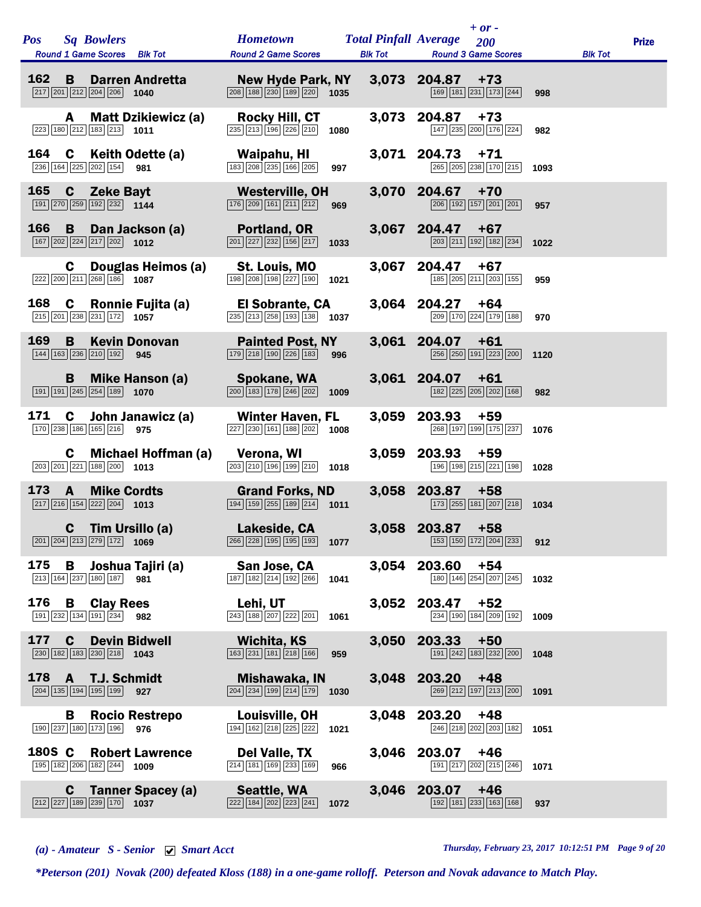| <b>Pos</b> | <b>Sq Bowlers</b><br>Round 1 Game Scores Blk Tot                                                             |                              | <b>Hometown</b><br><b>Round 2 Game Scores</b>                                                        |      | <b>Total Pinfall Average</b><br><b>Blk Tot</b> | $+$ or -<br>200<br><b>Round 3 Game Scores</b> |      | <b>Blk Tot</b> | <b>Prize</b> |
|------------|--------------------------------------------------------------------------------------------------------------|------------------------------|------------------------------------------------------------------------------------------------------|------|------------------------------------------------|-----------------------------------------------|------|----------------|--------------|
| 162        | B<br>$\boxed{217}$ $\boxed{201}$ $\boxed{212}$ $\boxed{204}$ $\boxed{206}$ <b>1040</b>                       | <b>Darren Andretta</b>       | New Hyde Park, NY<br>$\overline{208}$ 188 $\overline{230}$ 189 $\overline{220}$ 1035                 |      |                                                | 3,073 204.87<br>$+73$<br>169 181 231 173 244  | 998  |                |              |
|            | A<br>$\boxed{223}$ 180 $\boxed{212}$ 183 $\boxed{213}$ 1011                                                  | <b>Matt Dzikiewicz (a)</b>   | Rocky Hill, CT<br>235 213 196 226 210                                                                | 1080 | 3,073                                          | 204.87<br>$+73$<br>147 235 200 176 224        | 982  |                |              |
| 164        | C<br>236 164 225 202 154                                                                                     | Keith Odette (a)<br>981      | Waipahu, HI<br>$\boxed{183}$ $\boxed{208}$ $\boxed{235}$ $\boxed{166}$ $\boxed{205}$                 | 997  |                                                | 3,071 204.73<br>$+71$<br>265 205 238 170 215  | 1093 |                |              |
| 165        | $\mathbf{c}$<br><b>Zeke Bayt</b><br>191   270   259   192   232   1144                                       |                              | <b>Westerville, OH</b><br>$\boxed{176}$ $\boxed{209}$ $\boxed{161}$ $\boxed{211}$ $\boxed{212}$      | 969  | 3,070                                          | 204.67<br>$+70$<br>206 192 157 201 201        | 957  |                |              |
| 166        | B<br>$\boxed{167}$ $\boxed{202}$ $\boxed{224}$ $\boxed{217}$ $\boxed{202}$ <b>1012</b>                       | Dan Jackson (a)              | <b>Portland, OR</b><br>$\boxed{201}\boxed{227}\boxed{232}\boxed{156}\boxed{217}$                     | 1033 | 3,067                                          | 204.47<br>$+67$<br>203 211 192 182 234        | 1022 |                |              |
|            | C<br>$\boxed{222}\boxed{200}\boxed{211}\boxed{268}\boxed{186}$ 1087                                          | Douglas Heimos (a)           | St. Louis, MO<br>198 208 198 227 190                                                                 | 1021 | 3,067                                          | 204.47<br>$+67$<br>185 205 211 203 155        | 959  |                |              |
| 168        | C<br>$\boxed{215}$ $\boxed{201}$ $\boxed{238}$ $\boxed{231}$ $\boxed{172}$ <b>1057</b>                       | Ronnie Fujita (a)            | El Sobrante, CA<br>$\boxed{235}$ $\boxed{213}$ $\boxed{258}$ $\boxed{193}$ $\boxed{138}$ <b>1037</b> |      |                                                | 3,064 204.27<br>$+64$<br>209 170 224 179 188  | 970  |                |              |
| 169        | B<br>144 163 236 210 192                                                                                     | <b>Kevin Donovan</b><br>945  | <b>Painted Post, NY</b><br>$\boxed{179}$ $\boxed{218}$ $\boxed{190}$ $\boxed{226}$ $\boxed{183}$     | 996  | 3,061                                          | 204.07<br>$+61$<br>256 250 191 223 200        | 1120 |                |              |
|            | B<br>$\boxed{191}$ $\boxed{191}$ $\boxed{245}$ $\boxed{254}$ $\boxed{189}$ 1070                              | Mike Hanson (a)              | Spokane, WA<br>$\boxed{200}$ 183 178 246 202                                                         | 1009 |                                                | 3,061 204.07<br>$+61$<br>182 225 205 202 168  | 982  |                |              |
| 171        | C<br>170 238 186 165 216                                                                                     | John Janawicz (a)<br>975     | <b>Winter Haven, FL</b><br>227 230 161 188 202                                                       | 1008 | 3,059                                          | 203.93<br>$+59$<br>268 197 199 175 237        | 1076 |                |              |
|            | $\mathbf{c}$<br>203 201 221 188 200 1013                                                                     | Michael Hoffman (a)          | Verona, WI<br>203 210 196 199 210                                                                    | 1018 | 3,059                                          | 203.93<br>$+59$<br>196 198 215 221 198        | 1028 |                |              |
| 173        | <b>Mike Cordts</b><br>A<br>$\boxed{217}$ $\boxed{216}$ $\boxed{154}$ $\boxed{222}$ $\boxed{204}$ <b>1013</b> |                              | <b>Grand Forks, ND</b><br>$\boxed{194}$ $\boxed{159}$ $\boxed{255}$ $\boxed{189}$ $\boxed{214}$ 1011 |      |                                                | 3,058 203.87<br>$+58$<br>173 255 181 207 218  | 1034 |                |              |
|            | $\mathbf c$<br>Tim Ursillo (a)<br>201 204 213 279 172                                                        | 1069                         | Lakeside, CA<br>266 228 195 195 193                                                                  | 1077 |                                                | 3,058 203.87<br>$+58$<br>153 150 172 204 233  | 912  |                |              |
| 175        | В<br>$\boxed{213}$ $\boxed{164}$ $\boxed{237}$ $\boxed{180}$ $\boxed{187}$                                   | Joshua Tajiri (a)<br>981     | San Jose, CA<br>$\boxed{187}$ $\boxed{182}$ $\boxed{214}$ $\boxed{192}$ $\boxed{266}$                | 1041 |                                                | 3,054 203.60<br>$+54$<br>180 146 254 207 245  | 1032 |                |              |
| 176        | <b>Clay Rees</b><br>В<br>191 232 134 191 234 982                                                             |                              | Lehi, UT<br>243 188 207 222 201                                                                      | 1061 | 3,052                                          | 203.47<br>$+52$<br>234 190 184 209 192        | 1009 |                |              |
| 177        | <b>Devin Bidwell</b><br>$\mathbf c$<br>$\boxed{230}$ 182 183 230 218 1043                                    |                              | <b>Wichita, KS</b><br>$\boxed{163}$ $\boxed{231}$ $\boxed{181}$ $\boxed{218}$ $\boxed{166}$          | 959  | 3,050                                          | 203.33<br>$+50$<br>191 242 183 232 200        | 1048 |                |              |
| 178        | <b>T.J. Schmidt</b><br>$\mathbf{A}$<br>204 135 194 195 199                                                   | 927                          | Mishawaka, IN<br>$\boxed{204}$ $\boxed{234}$ $\boxed{199}$ $\boxed{214}$ $\boxed{179}$               | 1030 | 3,048                                          | 203.20<br>$+48$<br>269 212 197 213 200        | 1091 |                |              |
|            | В<br>190 237 180 173 196                                                                                     | <b>Rocio Restrepo</b><br>976 | Louisville, OH<br>194 162 218 225 222                                                                | 1021 | 3,048                                          | 203.20<br>$+48$<br>246 218 202 203 182        | 1051 |                |              |
| 180S C     | 195 182 206 182 244 1009                                                                                     | <b>Robert Lawrence</b>       | Del Valle, TX<br>214 181 169 233 169                                                                 | 966  | 3,046                                          | 203.07<br>$+46$<br>191 217 202 215 246        | 1071 |                |              |
|            | C.<br>$\boxed{212}\boxed{227}\boxed{189}\boxed{239}\boxed{170}$ 1037                                         | <b>Tanner Spacey (a)</b>     | Seattle, WA<br>222 184 202 223 241                                                                   | 1072 | 3,046                                          | 203.07<br>$+46$<br>192 181 233 163 168        | 937  |                |              |

*(a) - Amateur S - Senior Smart Acct Thursday, February 23, 2017 10:12:51 PM Page 9 of 20*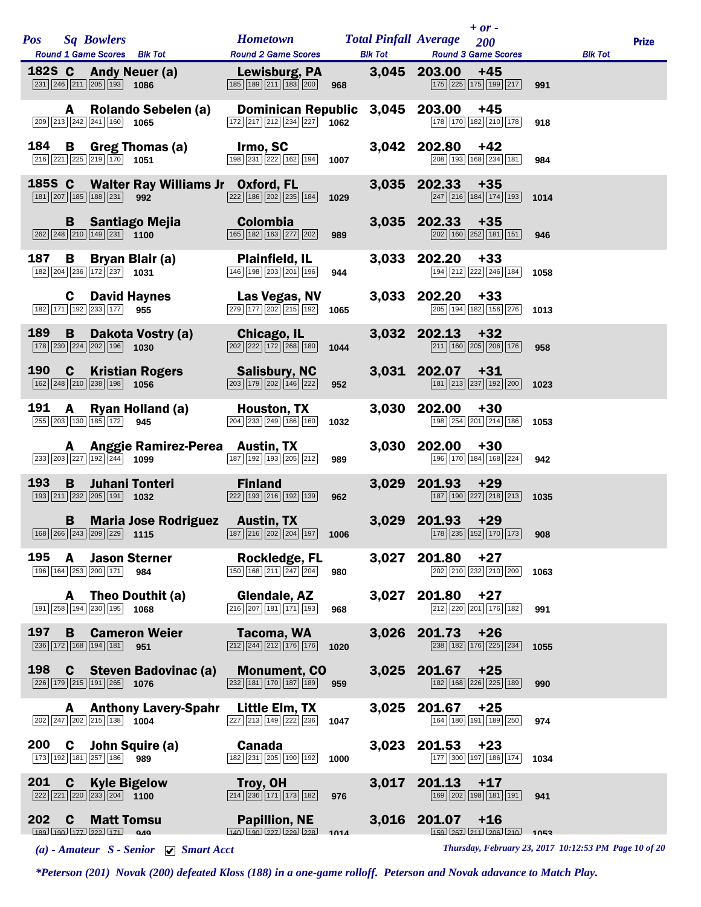|            |              |                                                                                       |                                          |                                                                                                             |      |                | $+ or -$                                                                                                   |      |                |              |
|------------|--------------|---------------------------------------------------------------------------------------|------------------------------------------|-------------------------------------------------------------------------------------------------------------|------|----------------|------------------------------------------------------------------------------------------------------------|------|----------------|--------------|
| <b>Pos</b> |              | <b>Sq Bowlers</b><br>Round 1 Game Scores Blk Tot                                      |                                          | <b>Hometown Total Pinfall Average</b><br><b>Round 2 Game Scores</b>                                         |      | <b>Blk Tot</b> | 200<br><b>Round 3 Game Scores</b>                                                                          |      | <b>Blk Tot</b> | <b>Prize</b> |
|            |              |                                                                                       |                                          |                                                                                                             |      |                |                                                                                                            |      |                |              |
|            |              | 231 246 211 205 193 1086                                                              | 182S C Andy Neuer (a)                    | Lewisburg, PA<br>$\boxed{185}$ $\boxed{189}$ $\boxed{211}$ $\boxed{183}$ $\boxed{200}$                      |      |                | 3,045 203.00<br>$+45$<br>175 225 175 199 217                                                               | 991  |                |              |
|            |              | 209 213 242 241 160 1065                                                              | A Rolando Sebelen (a)                    | Dominican Republic 3,045 203.00<br>$\boxed{172}\boxed{217}\boxed{212}\boxed{234}\boxed{227}$ 1062           |      |                | $+45$<br>$\boxed{178}$ $\boxed{170}$ $\boxed{182}$ $\boxed{210}$ $\boxed{178}$                             | 918  |                |              |
|            |              | $\boxed{216}$ $\boxed{221}$ $\boxed{225}$ $\boxed{219}$ $\boxed{170}$ <b>1051</b>     | 184 B Greg Thomas (a)                    | Irmo, SC<br>$\boxed{198}$ $\boxed{231}$ $\boxed{222}$ $\boxed{162}$ $\boxed{194}$ <b>1007</b>               |      |                | 3,042 202.80<br>$+42$<br>208 193 168 234 181                                                               | 984  |                |              |
|            |              | 181 207 185 188 231 992                                                               | 185S C Walter Ray Williams Jr Oxford, FL | $\boxed{222}$ 186 $\boxed{202}$ $\boxed{235}$ 184 1029                                                      |      |                | $3,035$ 202.33 +35<br>$\boxed{247}$ $\boxed{216}$ $\boxed{184}$ $\boxed{174}$ $\boxed{193}$                | 1014 |                |              |
|            |              | 262 248 210 149 231 1100                                                              | <b>B</b> Santiago Mejia                  | <b>Colombia</b><br>165 182 163 277 202                                                                      | 989  |                | $3,035$ 202.33 +35<br>$\boxed{202}$ $\boxed{160}$ $\boxed{252}$ $\boxed{181}$ $\boxed{151}$                | 946  |                |              |
| 187        | В            | 182 204 236 172 237 1031                                                              | Bryan Blair (a)                          | Plainfield, IL<br>146 198 203 201 196                                                                       | 944  |                | 3,033 202.20<br>$+33$<br>194 212 222 246 184                                                               | 1058 |                |              |
|            |              | 182 171 192 233 177 955                                                               | <b>C</b> David Haynes                    | Las Vegas, NV<br>$\boxed{279}$ $\boxed{177}$ $\boxed{202}$ $\boxed{215}$ $\boxed{192}$ <b>1065</b>          |      |                | $3,033$ 202.20 +33<br>$\boxed{205}$ 194 182 156 276 1013                                                   |      |                |              |
| 189        | B            | 178 230 224 202 196 1030                                                              | Dakota Vostry (a) Chicago, IL            | $\boxed{202}$ $\boxed{222}$ $\boxed{172}$ $\boxed{268}$ $\boxed{180}$ <b>1044</b>                           |      |                | $3,032$ 202.13 +32<br>211 160 205 206 176                                                                  | 958  |                |              |
| 190        |              | $\boxed{162}$ $\boxed{248}$ $\boxed{210}$ $\boxed{238}$ $\boxed{198}$ <b>1056</b>     | <b>C</b> Kristian Rogers                 | Salisbury, NC<br>$\boxed{203}$ $\boxed{179}$ $\boxed{202}$ $\boxed{146}$ $\boxed{222}$                      | 952  |                | 3,031 202.07<br>$+31$<br>181 213 237 192 200 1023                                                          |      |                |              |
| 191        | $\mathsf{A}$ | 255 203 130 185 172 945                                                               | Ryan Holland (a)                         | <b>Houston, TX</b><br>$\boxed{204}$ $\boxed{233}$ $\boxed{249}$ $\boxed{186}$ $\boxed{160}$                 | 1032 |                | 3,030 202.00<br>$+30$<br>198 254 201 214 186 1053                                                          |      |                |              |
|            |              | 233 203 227 192 244 1099                                                              | A Anggie Ramirez-Perea Austin, TX        | 187 192 193 205 212                                                                                         | 989  |                | 3,030 202.00<br>$+30$<br>196 170 184 168 224                                                               | 942  |                |              |
| 193        | B.           | $\boxed{193}$ $\boxed{211}$ $\boxed{232}$ $\boxed{205}$ $\boxed{191}$ <b>1032</b>     | Juhani Tonteri                           | <b>Finland</b><br>222 193 216 192 139                                                                       | 962  | 3,029          | 201.93<br>$+29$<br>187 190 227 218 213                                                                     | 1035 |                |              |
|            |              |                                                                                       |                                          | <b>B</b> Maria Jose Rodriguez Austin, TX<br>$\frac{168}{266}$ 266 243 209 229 1115 187 216 202 204 197 1006 |      |                | $3,029$ 201.93 +29<br>178 235 152 170 173                                                                  | 908  |                |              |
| 195        | A            | 196 164 253 200 171 984                                                               | <b>Jason Sterner</b>                     | Rockledge, FL<br>$\boxed{150}$ $\boxed{168}$ $\boxed{211}$ $\boxed{247}$ $\boxed{204}$                      | 980  | 3,027          | 201.80<br>$+27$<br>202 210 232 210 209                                                                     | 1063 |                |              |
|            | A            | 191 258 194 230 195 1068                                                              | Theo Douthit (a)                         | Glendale, AZ<br>$\boxed{216}$ $\boxed{207}$ $\boxed{181}$ $\boxed{171}$ $\boxed{193}$                       | 968  |                | 3,027 201.80<br>$+27$<br>212 220 201 176 182                                                               | 991  |                |              |
| 197        | B            | $\boxed{236}$ 172 168 194 181 951                                                     | <b>Cameron Weier</b>                     | Tacoma, WA<br>$\boxed{212}$ $\boxed{244}$ $\boxed{212}$ $\boxed{176}$ $\boxed{176}$                         | 1020 |                | 3,026 201.73<br>$+26$<br>238 182 176 225 234                                                               | 1055 |                |              |
| 198        | C.           | 226 179 215 191 265 1076                                                              | <b>Steven Badovinac (a)</b>              | <b>Monument, CO</b><br>232 181 170 187 189                                                                  | 959  |                | 3,025 201.67<br>$+25$<br>182 168 226 225 189                                                               | 990  |                |              |
|            |              | $\boxed{202}$ $\boxed{247}$ $\boxed{202}$ $\boxed{215}$ $\boxed{138}$ <b>1004</b>     | <b>A</b> Anthony Lavery-Spahr            | Little Elm, TX<br>227 213 149 222 236                                                                       | 1047 | 3,025          | 201.67<br>$+25$<br>164 180 191 189 250                                                                     | 974  |                |              |
| 200        | C            | 173 192 181 257 186 989                                                               | John Squire (a)                          | <b>Canada</b><br>182 231 205 190 192                                                                        | 1000 | 3,023          | 201.53<br>$+23$<br>177 300 197 186 174                                                                     | 1034 |                |              |
| 201        | C            | <b>Kyle Bigelow</b><br>$\boxed{222}\boxed{221}\boxed{220}\boxed{233}\boxed{204}$ 1100 |                                          | Troy, OH<br>$\boxed{214}$ $\boxed{236}$ $\boxed{171}$ $\boxed{173}$ $\boxed{182}$                           | 976  | 3,017          | 201.13<br>$+17$<br>169 202 198 181 191                                                                     | 941  |                |              |
| 202        | C            | <b>Matt Tomsu</b><br>189 190 177 222 171 040                                          |                                          | <b>Papillion, NE</b><br>$\frac{1}{140}$ $\frac{1}{190}$ $\frac{227}{229}$ $\frac{1}{228}$                   | 1014 |                | $3,016$ 201.07 +16<br>$\boxed{159}$ $\boxed{267}$ $\boxed{211}$ $\boxed{206}$ $\boxed{210}$ $\boxed{1053}$ |      |                |              |

*(a) - Amateur S - Senior Smart Acct Thursday, February 23, 2017 10:12:53 PM Page 10 of 20*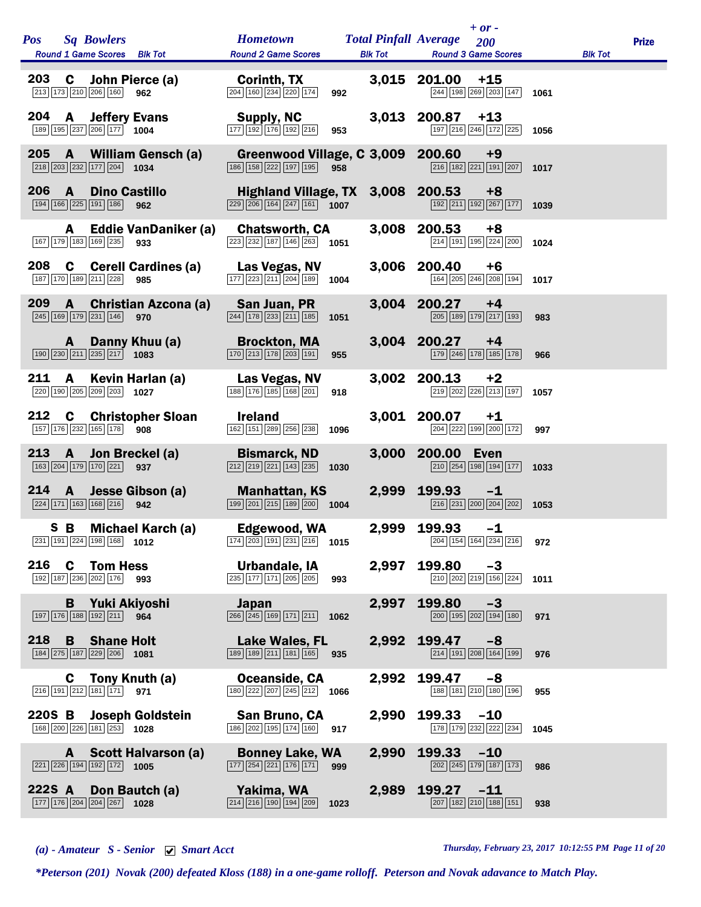| <b>Pos</b> | <b>Sq Bowlers</b><br>Round 1 Game Scores Blk Tot                                                           |                                    | <b>Hometown</b><br><b>Round 2 Game Scores</b>                                                                          |      | <b>Total Pinfall Average</b><br><b>Blk Tot</b> |                  | $+ or -$<br>200<br><b>Round 3 Game Scores</b>                                           |      | <b>Blk Tot</b> | <b>Prize</b> |
|------------|------------------------------------------------------------------------------------------------------------|------------------------------------|------------------------------------------------------------------------------------------------------------------------|------|------------------------------------------------|------------------|-----------------------------------------------------------------------------------------|------|----------------|--------------|
| 203        | C<br>213 173 210 206 160                                                                                   | John Pierce (a)<br>962             | Corinth, TX<br>$\boxed{204}$ $\boxed{160}$ $\boxed{234}$ $\boxed{220}$ $\boxed{174}$                                   | 992  |                                                | 3,015 201.00     | $+15$<br>244 198 269 203 147                                                            | 1061 |                |              |
| 204        | <b>Jeffery Evans</b><br>A<br>189 195 237 206 177 1004                                                      |                                    | <b>Supply, NC</b><br>177 192 176 192 216                                                                               | 953  | 3,013                                          | 200.87           | $+13$<br>197 216 246 172 225                                                            | 1056 |                |              |
| 205        | $\mathbf{A}$<br>$\boxed{218}$ $\boxed{203}$ $\boxed{232}$ $\boxed{177}$ $\boxed{204}$ <b>1034</b>          | <b>William Gensch (a)</b>          | Greenwood Village, C 3,009<br>186 158 222 197 195                                                                      | 958  |                                                | 200.60           | $+9$<br>$\boxed{216}$ 182 221 191 207 1017                                              |      |                |              |
| 206        | <b>Dino Castillo</b><br>A<br>194 166 225 191 186                                                           | 962                                | Highland Village, TX 3,008 200.53<br>$\boxed{229}$ $\boxed{206}$ $\boxed{164}$ $\boxed{247}$ $\boxed{161}$ <b>1007</b> |      |                                                |                  | $+8$<br>192 211 192 267 177 1039                                                        |      |                |              |
|            | A<br>167 179 183 169 235                                                                                   | <b>Eddie VanDaniker (a)</b><br>933 | <b>Chatsworth, CA</b><br>$\sqrt{223}$ $\sqrt{232}$ 187 146 263 1051                                                    |      | 3,008                                          | 200.53           | $+8$<br>214 191 195 224 200                                                             | 1024 |                |              |
| 208        | C<br>187 170 189 211 228                                                                                   | <b>Cerell Cardines (a)</b><br>985  | Las Vegas, NV<br>177 223 211 204 189                                                                                   | 1004 | 3,006                                          | 200.40           | +6<br>164 205 246 208 194                                                               | 1017 |                |              |
| 209        | $\mathbf{A}$<br>245 169 179 231 146                                                                        | <b>Christian Azcona (a)</b><br>970 | San Juan, PR<br>$\boxed{244}$ $\boxed{178}$ $\boxed{233}$ $\boxed{211}$ $\boxed{185}$                                  | 1051 | 3,004                                          | 200.27           | $+4$<br>205 189 179 217 193                                                             | 983  |                |              |
|            | A<br>190 230 211 235 217                                                                                   | Danny Khuu (a)<br>1083             | <b>Brockton, MA</b><br>$\boxed{170}$ $\boxed{213}$ $\boxed{178}$ $\boxed{203}$ $\boxed{191}$                           | 955  |                                                | 3,004 200.27     | $+4$<br>179 246 178 185 178                                                             | 966  |                |              |
| 211        | A<br>$\boxed{220}$ 190 $\boxed{205}$ $\boxed{209}$ $\boxed{203}$ 1027                                      | Kevin Harlan (a)                   | Las Vegas, NV<br>188 176 185 168 201                                                                                   | 918  | 3,002                                          | 200.13           | $+2$<br>219 202 226 213 197                                                             | 1057 |                |              |
| 212        | $\mathbf c$<br>157 176 232 165 178 908                                                                     | <b>Christopher Sloan</b>           | <b>Ireland</b><br>162 151 289 256 238                                                                                  | 1096 | 3,001                                          | 200.07           | $+1$<br>204 222 199 200 172                                                             | 997  |                |              |
| 213        | $\mathbf{A}$<br>163 204 179 170 221                                                                        | Jon Breckel (a)<br>937             | <b>Bismarck, ND</b><br>$\boxed{212}\boxed{219}\boxed{221}\boxed{143}\boxed{235}$                                       | 1030 | 3,000                                          | 200.00           | Even<br>$\boxed{210}$ $\boxed{254}$ $\boxed{198}$ $\boxed{194}$ $\boxed{177}$           | 1033 |                |              |
| 214        | $\mathbf{A}$<br>$\boxed{224}$ 171 163 168 216                                                              | Jesse Gibson (a)<br>942            | <b>Manhattan, KS</b><br>$\boxed{199}$ $\boxed{201}$ $\boxed{215}$ $\boxed{189}$ $\boxed{200}$ <b>1004</b>              |      | 2,999                                          | 199.93           | $-1$<br>216 231 200 204 202                                                             | 1053 |                |              |
|            | S B<br>231 191 224 198 168 1012                                                                            | Michael Karch (a)                  | Edgewood, WA<br>$\boxed{174}$ 203 191 231 216 1015                                                                     |      | 2,999                                          | 199.93           | $-1$<br>204 154 164 234 216 972                                                         |      |                |              |
|            | 216 C Tom Hess<br>192 187 236 202 176 993                                                                  |                                    | Urbandale, IA<br>235 177 171 205 205                                                                                   | 993  |                                                | 2,997 199.80     | -3<br>$\boxed{210}$ $\boxed{202}$ $\boxed{219}$ $\boxed{156}$ $\boxed{224}$ <b>1011</b> |      |                |              |
|            | <b>B</b> Yuki Akiyoshi<br>197 176 188 192 211 964                                                          |                                    | <b>Japan</b><br>$\overline{266}$ $\overline{245}$ 169 171 211 1062                                                     |      | 2,997                                          | 199.80           | $-3$<br>$\boxed{200}$ $\boxed{195}$ $\boxed{202}$ $\boxed{194}$ $\boxed{180}$           | 971  |                |              |
|            | 218 B Shane Holt<br>184 275 187 229 206 1081                                                               |                                    | Lake Wales, FL<br>189 189 211 181 165 935                                                                              |      |                                                | 2,992 199.47     | $-8$<br>$\boxed{214}$ $\boxed{191}$ $\boxed{208}$ $\boxed{164}$ $\boxed{199}$           | 976  |                |              |
|            | <b>C</b> Tony Knuth (a)<br>$\boxed{216}$ 191 $\boxed{212}$ 181 171 971                                     |                                    | Oceanside, CA<br>$\boxed{180}$ $\boxed{222}$ $\boxed{207}$ $\boxed{245}$ $\boxed{212}$ <b>1066</b>                     |      |                                                | 2,992 199.47     | -8<br>188 181 210 180 196                                                               | 955  |                |              |
|            | 220S B Joseph Goldstein<br>168 200 226 181 253 1028                                                        |                                    | San Bruno, CA<br>186 202 195 174 160 917                                                                               |      |                                                | 2,990 199.33 -10 | 178 179 232 222 234 1045                                                                |      |                |              |
|            | $\boxed{221}$ $\boxed{226}$ $\boxed{194}$ $\boxed{192}$ $\boxed{172}$ <b>1005</b>                          | A Scott Halvarson (a)              | <b>Bonney Lake, WA</b><br>$\boxed{177}$ $\boxed{254}$ $\boxed{221}$ $\boxed{176}$ $\boxed{171}$ 999                    |      |                                                | 2,990 199.33 -10 | 202 245 179 187 173                                                                     | 986  |                |              |
|            | 222S A Don Bautch (a)<br>$\boxed{177}$ $\boxed{176}$ $\boxed{204}$ $\boxed{204}$ $\boxed{267}$ <b>1028</b> |                                    | Yakima, WA<br>$\boxed{214}$ $\boxed{216}$ $\boxed{190}$ $\boxed{194}$ $\boxed{209}$ <b>1023</b>                        |      |                                                | 2,989 199.27 -11 | $\boxed{207}$ $\boxed{182}$ $\boxed{210}$ $\boxed{188}$ $\boxed{151}$                   | 938  |                |              |

*(a) - Amateur S - Senior Smart Acct Thursday, February 23, 2017 10:12:55 PM Page 11 of 20*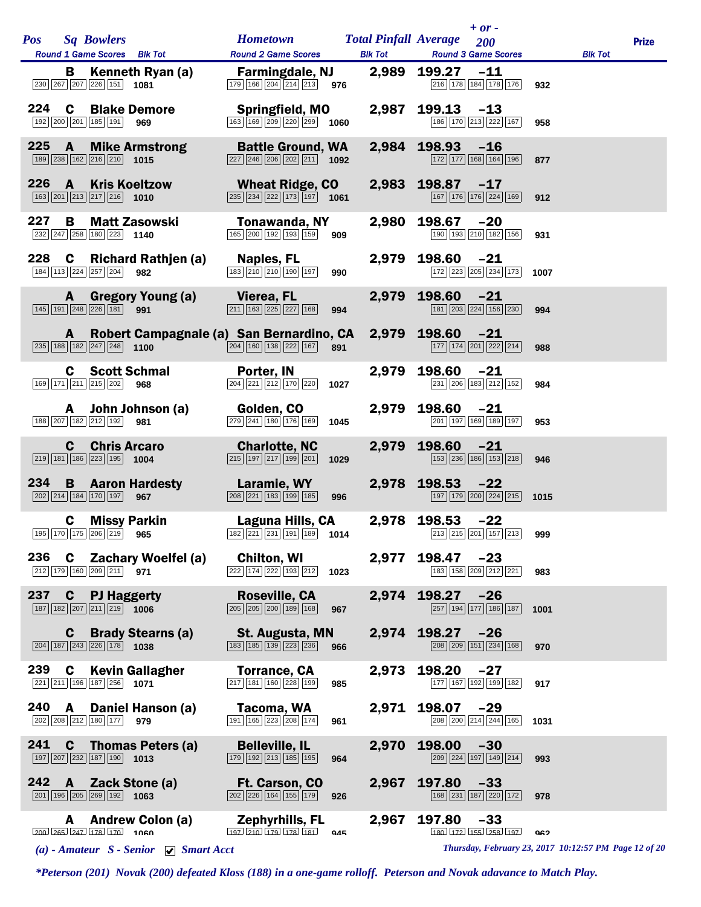| <b>Pos</b><br><b>Sq Bowlers</b>                                                                                                   | <b>Hometown</b><br><b>Total Pinfall Average</b>                                                               |                | $+ or -$<br>200                                                                                |                | <b>Prize</b> |
|-----------------------------------------------------------------------------------------------------------------------------------|---------------------------------------------------------------------------------------------------------------|----------------|------------------------------------------------------------------------------------------------|----------------|--------------|
| Round 1 Game Scores Blk Tot                                                                                                       | <b>Round 2 Game Scores</b>                                                                                    | <b>Blk Tot</b> | <b>Round 3 Game Scores</b>                                                                     | <b>Blk Tot</b> |              |
| В<br>Kenneth Ryan (a)<br>230 267 207 226 151 1081                                                                                 | <b>Farmingdale, NJ</b><br>$\boxed{179}$ $\boxed{166}$ $\boxed{204}$ $\boxed{214}$ $\boxed{213}$ 976           |                | 2,989 199.27<br>$-11$<br>216 178 184 178 176                                                   | 932            |              |
| 224<br>C<br><b>Blake Demore</b><br>192 200 201 185 191<br>969                                                                     | <b>Springfield, MO</b><br>$\overline{163}$ 169 209 220 299 1060                                               | 2,987          | 199.13<br>$-13$<br>186 170 213 222 167                                                         | 958            |              |
| 225<br>$\mathbf{A}$<br><b>Mike Armstrong</b><br>$\boxed{189}$ $\boxed{238}$ $\boxed{162}$ $\boxed{216}$ $\boxed{210}$ <b>1015</b> | <b>Battle Ground, WA</b><br>$\boxed{227}$ $\boxed{246}$ $\boxed{206}$ $\boxed{202}$ $\boxed{211}$ <b>1092</b> |                | 2,984 198.93 -16<br>172 177 168 164 196                                                        | 877            |              |
| 226<br><b>Kris Koeltzow</b><br>$\mathbf{A}$<br>$\boxed{163}$ $\boxed{201}$ $\boxed{213}$ $\boxed{217}$ $\boxed{216}$ <b>1010</b>  | <b>Wheat Ridge, CO</b><br>$\boxed{235}$ $\boxed{234}$ $\boxed{222}$ $\boxed{173}$ $\boxed{197}$ 1061          |                | 2,983 198.87<br>$-17$<br>167 176 176 224 169                                                   | 912            |              |
| 227<br>B<br><b>Matt Zasowski</b><br>$\boxed{232}$ $\boxed{247}$ $\boxed{258}$ 180 223 1140                                        | Tonawanda, NY<br>165 200 192 193 159<br>909                                                                   | 2,980          | 198.67<br>$-20$<br>190 193 210 182 156                                                         | 931            |              |
| 228<br>C<br>Richard Rathjen (a)<br>184 113 224 257 204<br>982                                                                     | Naples, FL<br>183 210 210 190 197<br>990                                                                      | 2,979          | 198.60<br>-21<br>172 223 205 234 173                                                           | 1007           |              |
| <b>Gregory Young (a)</b><br>$\mathbf{A}$<br>145 191 248 226 181 991                                                               | Vierea, FL<br>$211$ 163 225 227 168<br>994                                                                    |                | 2,979 198.60<br>$-21$<br>181 203 224 156 230                                                   | 994            |              |
| A<br>$\boxed{235}$ 188 182 247 248 1100                                                                                           | Robert Campagnale (a) San Bernardino, CA<br>$\boxed{204}$ 160 138 222 167 891                                 |                | 2,979 198.60<br>$-21$<br>$\boxed{177}$ $\boxed{174}$ $\boxed{201}$ $\boxed{222}$ $\boxed{214}$ | 988            |              |
| <b>C</b> Scott Schmal<br>169 171 211 215 202 968                                                                                  | Porter, IN<br>$\boxed{204}\boxed{221}\boxed{212}\boxed{170}\boxed{220}$<br>1027                               | 2,979          | 198.60<br>$-21$<br>231 206 183 212 152                                                         | 984            |              |
| John Johnson (a)<br>A<br>188 207 182 212 192 981                                                                                  | Golden, CO<br>$\boxed{279}$ $\boxed{241}$ $\boxed{180}$ $\boxed{176}$ $\boxed{169}$<br>1045                   | 2,979          | 198.60<br>$-21$<br>201 197 169 189 197                                                         | 953            |              |
| <b>Chris Arcaro</b><br>C<br>$\boxed{219}$ 181 186 223 195 1004                                                                    | <b>Charlotte, NC</b><br>$\boxed{215}$ $\boxed{197}$ $\boxed{217}$ $\boxed{199}$ $\boxed{201}$<br>1029         | 2,979          | 198.60<br>$-21$<br>153 236 186 153 218                                                         | 946            |              |
| 234<br><b>B</b> Aaron Hardesty<br>202 214 184 170 197 967                                                                         | Laramie, WY<br>$\boxed{208}$ $\boxed{221}$ $\boxed{183}$ $\boxed{199}$ $\boxed{185}$<br>996                   | 2,978          | $198.53 -22$<br>197 179 200 224 215 1015                                                       |                |              |
| <b>C</b> Missy Parkin<br>195 170 175 206 219 965                                                                                  | Laguna Hills, CA<br>$\boxed{182}$ $\boxed{221}$ $\boxed{231}$ $\boxed{191}$ $\boxed{189}$ <b>1014</b>         |                | 2,978 198.53 -22<br>213 215 201 157 213                                                        | 999            |              |
| 236<br><b>Zachary Woelfel (a)</b><br>C<br>212 179 160 209 211<br>971                                                              | <b>Chilton, WI</b><br>222 174 222 193 212<br>1023                                                             | 2,977          | 198.47<br>$-23$<br>183 158 209 212 221                                                         | 983            |              |
| 237<br>$\mathbf c$<br><b>PJ Haggerty</b><br>$\boxed{187}$ $\boxed{182}$ $\boxed{207}$ $\boxed{211}$ $\boxed{219}$ 1006            | Roseville, CA<br>$\boxed{205}$ $\boxed{205}$ $\boxed{200}$ $\boxed{189}$ $\boxed{168}$<br>967                 | 2,974          | 198.27<br>$-26$<br>257 194 177 186 187                                                         | 1001           |              |
| <b>Brady Stearns (a)</b><br>C<br>$\boxed{204}$ 187 243 226 178 1038                                                               | St. Augusta, MN<br>183 185 139 223 236<br>966                                                                 | 2,974          | 198.27<br>$-26$<br>151 234 168<br>208 209                                                      | 970            |              |
| 239<br><b>Kevin Gallagher</b><br>C<br>221 211 196<br>187 256 1071                                                                 | <b>Torrance, CA</b><br>217 181 160 228 199<br>985                                                             | 2,973          | 198.20<br>$-27$<br>177 167 192 199 182                                                         | 917            |              |
| 240<br>A<br>Daniel Hanson (a)<br>202 208 212 180 177<br>979                                                                       | Tacoma, WA<br>191 165 223 208 174<br>961                                                                      | 2,971          | 198.07<br>$-29$<br>208 200 214 244 165                                                         | 1031           |              |
| 241<br>$\mathbf c$<br><b>Thomas Peters (a)</b><br>197 207 232<br>187 190<br>1013                                                  | <b>Belleville, IL</b><br>179 192 213 185 195<br>964                                                           | 2,970          | 198.00<br>$-30$<br>209 224<br>197 149 214                                                      | 993            |              |
| 242<br>Zack Stone (a)<br>A<br>$\boxed{201}$ 196 $\boxed{205}$ $\boxed{269}$ 192 1063                                              | Ft. Carson, CO<br>202 226 164 155 179<br>926                                                                  | 2,967          | 197.80<br>$-33$<br>168 231 187 220 172                                                         | 978            |              |
| <b>Andrew Colon (a)</b><br>A<br>$200 \overline{265} \overline{247} \overline{178} \overline{170}$ 1060                            | <b>Zephyrhills, FL</b><br>$197$ $210$ $179$ $178$ $181$<br>945                                                | 2,967          | 197.80<br>$-33$<br>180 172 155 258 197                                                         | 962            |              |
| (a) - Amateur $S$ - Senior $\bigtriangledown$ Smart Acct                                                                          |                                                                                                               |                | Thursday, February 23, 2017 10:12:57 PM Page 12 of 20                                          |                |              |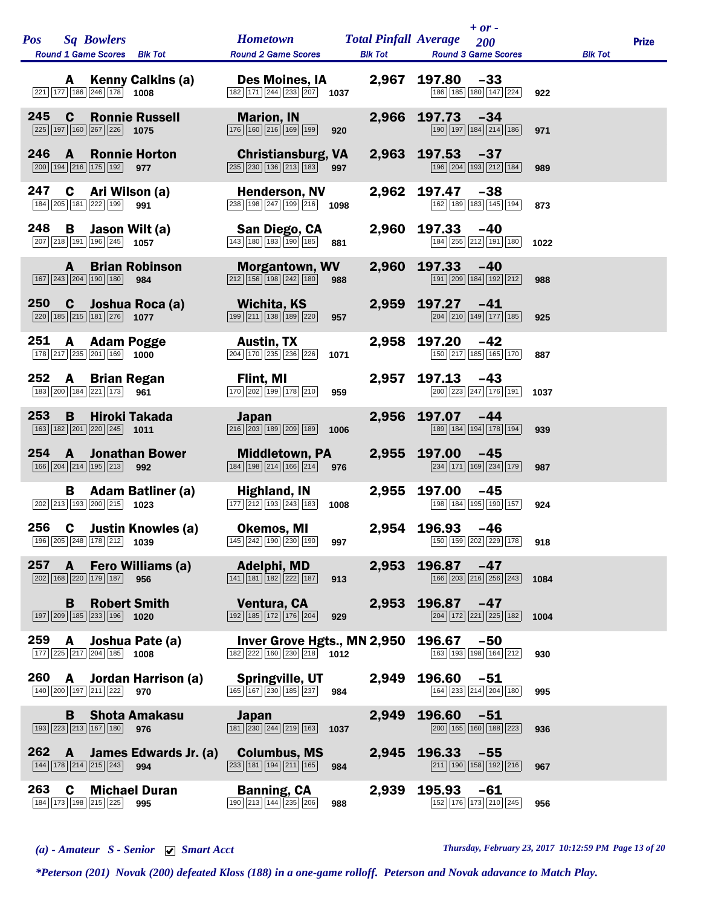| <b>Pos</b> | <b>Sq Bowlers</b><br>Round 1 Game Scores Blk Tot                                                                   | <b>Hometown</b><br><b>Round 2 Game Scores</b>                                                             | <b>Total Pinfall Average</b><br><b>Blk Tot</b> | $+ or -$<br>200<br><b>Round 3 Game Scores</b> |      | <b>Blk Tot</b> | <b>Prize</b> |
|------------|--------------------------------------------------------------------------------------------------------------------|-----------------------------------------------------------------------------------------------------------|------------------------------------------------|-----------------------------------------------|------|----------------|--------------|
|            | <b>Kenny Calkins (a)</b><br>A<br>221 177 186 246 178<br>1008                                                       | Des Moines, IA<br>$\overline{ 182   171   244   233   207}$ 1037                                          | 2,967                                          | 197.80<br>$-33$<br>186 185 180 147 224        | 922  |                |              |
| 245        | <b>Ronnie Russell</b><br>C<br>225 197 160 267 226 1075                                                             | <b>Marion, IN</b><br>$\boxed{176}$ $\boxed{160}$ $\boxed{216}$ $\boxed{169}$ $\boxed{199}$<br>920         | 2,966                                          | 197.73<br>$-34$<br>190 197 184 214 186        | 971  |                |              |
| 246        | A<br><b>Ronnie Horton</b><br>200 194 216 175 192<br>977                                                            | <b>Christiansburg, VA</b><br>$\boxed{235}$ $\boxed{230}$ $\boxed{136}$ $\boxed{213}$ $\boxed{183}$<br>997 | 2,963                                          | 197.53<br>$-37$<br>196 204 193 212 184        | 989  |                |              |
| 247        | C<br>Ari Wilson (a)<br>184 205 181 222 199 991                                                                     | <b>Henderson, NV</b><br>$\sqrt{238}\sqrt{198}\sqrt{247}\sqrt{199}\sqrt{216}$<br>1098                      | 2,962                                          | 197.47<br>$-38$<br>162 189 183 145 194        | 873  |                |              |
| 248        | В<br>Jason Wilt (a)<br>$\boxed{207}$ $\boxed{218}$ $\boxed{191}$ $\boxed{196}$ $\boxed{245}$ <b>1057</b>           | San Diego, CA<br>$\boxed{143}$ $\boxed{180}$ $\boxed{183}$ $\boxed{190}$ $\boxed{185}$<br>881             | 2,960                                          | 197.33<br>$-40$<br>184 255 212 191 180        | 1022 |                |              |
|            | <b>Brian Robinson</b><br>A<br>167 243 204 190 180<br>984                                                           | <b>Morgantown, WV</b><br>$\boxed{212}$ $\boxed{156}$ $\boxed{198}$ $\boxed{242}$ $\boxed{180}$<br>988     | 2,960                                          | 197.33<br>$-40$<br>191 209 184 192 212        | 988  |                |              |
| <b>250</b> | $\mathbf{c}$<br>Joshua Roca (a)<br>$\boxed{220}$ 185 215 181 276 1077                                              | <b>Wichita, KS</b><br>199 211 138 189 220<br>957                                                          | 2,959                                          | 197.27<br>-41<br>204 210 149 177 185          | 925  |                |              |
| 251        | A<br><b>Adam Pogge</b><br>$\boxed{178}\boxed{217}\boxed{235}\boxed{201}\boxed{169}$ 1000                           | <b>Austin, TX</b><br>$\boxed{204}$ $\boxed{170}$ $\boxed{235}$ $\boxed{236}$ $\boxed{226}$<br>1071        | 2,958                                          | 197.20<br>$-42$<br>150 217 185 165 170        | 887  |                |              |
| 252        | A<br><b>Brian Regan</b><br>183 200 184 221 173<br>961                                                              | Flint, MI<br>170 202 199 178 210<br>959                                                                   | 2,957                                          | 197.13<br>$-43$<br>200 223 247 176 191        | 1037 |                |              |
| 253        | <b>Hiroki Takada</b><br>B<br>$\boxed{163}$ $\boxed{182}$ $\boxed{201}$ $\boxed{220}$ $\boxed{245}$ <b>1011</b>     | <b>Japan</b><br>216 203 189 209 189<br>1006                                                               | 2,956                                          | 197.07<br>$-44$<br>189 184 194 178 194        | 939  |                |              |
| 254        | $\mathbf{A}$<br><b>Jonathan Bower</b><br>166 204 214 195 213 992                                                   | <b>Middletown, PA</b><br>184 198 214 166 214<br>976                                                       | 2,955                                          | 197.00<br>$-45$<br>234 171 169 234 179        | 987  |                |              |
|            | <b>Adam Batliner (a)</b><br>В<br>$\boxed{202}$ $\boxed{213}$ $\boxed{193}$ $\boxed{200}$ $\boxed{215}$ <b>1023</b> | <b>Highland, IN</b><br>$\boxed{177}$ $\boxed{212}$ $\boxed{193}$ $\boxed{243}$ $\boxed{183}$<br>1008      | 2,955                                          | 197.00<br>-45<br>198 184 195 190 157          | 924  |                |              |
| 256        | C<br><b>Justin Knowles (a)</b><br>196 205 248 178 212<br>1039                                                      | <b>Okemos, MI</b><br>145 242 190 230 190<br>997                                                           | 2,954                                          | 196.93<br>$-46$<br>150 159 202 229 178        | 918  |                |              |
| 257        | Fero Williams (a)<br>$\mathbf{A}$<br>202 168 220 179 187<br>956                                                    | Adelphi, MD<br>$\boxed{141}$ $\boxed{181}$ $\boxed{182}$ $\boxed{222}$ $\boxed{187}$<br>913               | 2,953                                          | 196.87<br>$-47$<br>166 203 216 256 243        | 1084 |                |              |
|            | <b>Robert Smith</b><br>B<br>$\boxed{197}$ $\boxed{209}$ $\boxed{185}$ $\boxed{233}$ $\boxed{196}$ <b>1020</b>      | Ventura, CA<br>$\boxed{192}$ $\boxed{185}$ $\boxed{172}$ $\boxed{176}$ $\boxed{204}$<br>929               | 2,953                                          | 196.87<br>$-47$<br>204 172 221 225 182        | 1004 |                |              |
| 259        | A<br>Joshua Pate (a)<br>177 225 217 204 185 1008                                                                   | Inver Grove Hgts., MN 2,950<br>$\boxed{182}$ $\boxed{222}$ $\boxed{160}$ $\boxed{230}$ $\boxed{218}$ 1012 |                                                | 196.67<br>$-50$<br>163 193 198 164 212        | 930  |                |              |
| 260        | Jordan Harrison (a)<br>A<br>140 200 197 211 222<br>970                                                             | Springville, UT<br>165 167 230 185 237<br>984                                                             | 2,949                                          | 196.60<br>$-51$<br>164 233 214 204 180        | 995  |                |              |
|            | <b>Shota Amakasu</b><br>B<br>193 223 213 167 180<br>976                                                            | <b>Japan</b><br>$\boxed{181}$ $\boxed{230}$ $\boxed{244}$ $\boxed{219}$ $\boxed{163}$<br>1037             | 2,949                                          | 196.60<br>$-51$<br>200 165 160 188 223        | 936  |                |              |
| 262        | James Edwards Jr. (a)<br>A<br>144 178 214 215 243<br>994                                                           | <b>Columbus, MS</b><br>$\boxed{233}$ $\boxed{181}$ $\boxed{194}$ $\boxed{211}$ $\boxed{165}$<br>984       | 2,945                                          | 196.33<br>$-55$<br>211 190 158 192 216        | 967  |                |              |
| 263        | <b>Michael Duran</b><br>C<br>184 173 198 215 225<br>995                                                            | <b>Banning, CA</b><br>190 213 144 235 206<br>988                                                          | 2,939                                          | 195.93<br>$-61$<br>152 176 173 210 245        | 956  |                |              |

*(a) - Amateur S - Senior Smart Acct Thursday, February 23, 2017 10:12:59 PM Page 13 of 20*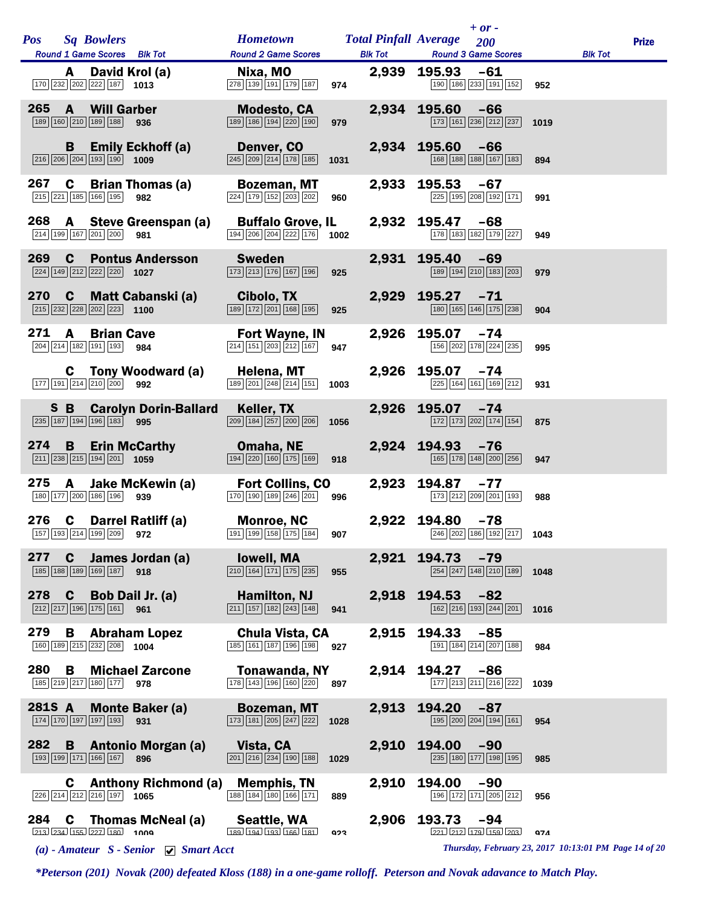| <b>Pos</b> |              | <b>Sq Bowlers</b>                                                                                   |                                                     | <b>Hometown</b>                                                                                               |            |                                                     | $+ or -$<br><b>Total Pinfall Average</b> 200                                              |       |      |                                                       | <b>Prize</b> |
|------------|--------------|-----------------------------------------------------------------------------------------------------|-----------------------------------------------------|---------------------------------------------------------------------------------------------------------------|------------|-----------------------------------------------------|-------------------------------------------------------------------------------------------|-------|------|-------------------------------------------------------|--------------|
|            |              | Round 1 Game Scores Blk Tot                                                                         |                                                     | <b>Round 2 Game Scores</b>                                                                                    |            |                                                     | <b>Blk Tot Round 3 Game Scores</b>                                                        |       |      | <b>Blk Tot</b>                                        |              |
|            | A            | David Krol (a)<br>$\boxed{170}$ $\boxed{232}$ $\boxed{202}$ $\boxed{222}$ $\boxed{187}$ <b>1013</b> |                                                     | Nixa, MO<br>278 139 191 179 187                                                                               | 974        |                                                     | 2,939 195.93 -61<br>190 186 233 191 152                                                   |       | 952  |                                                       |              |
| 265        | $\mathbf{A}$ | <b>Will Garber</b><br>189 160 210 189 188 936                                                       |                                                     | <b>Modesto, CA</b><br>189 186 194 220 190                                                                     | 979        |                                                     | 2,934 195.60 -66<br>173 161 236 212 237                                                   |       | 1019 |                                                       |              |
|            | B            | $\boxed{216}$ $\boxed{206}$ $\boxed{204}$ $\boxed{193}$ $\boxed{190}$ 1009                          | <b>Emily Eckhoff (a)</b>                            | Denver, CO<br>$\boxed{245}\boxed{209}\boxed{214}\boxed{178}\boxed{185}$                                       | 1031       |                                                     | 2,934 195.60 -66<br>168 188 188 167 183                                                   |       | 894  |                                                       |              |
| 267        | C            | 215 221 185 166 195                                                                                 | <b>Brian Thomas (a)</b><br>982                      | <b>Bozeman, MT</b><br>$\overline{224}$ 179 152 203 202                                                        | 960        | 2,933                                               | 195.53<br>$-67$<br>225 195 208 192 171                                                    |       | 991  |                                                       |              |
| 268        |              | 214 199 167 201 200 981                                                                             | A Steve Greenspan (a)                               | <b>Buffalo Grove, IL</b><br>$\boxed{194}$ $\boxed{206}$ $\boxed{204}$ $\boxed{222}$ $\boxed{176}$ <b>1002</b> |            |                                                     | 2,932 195.47 -68<br>178 183 182 179 227                                                   |       | 949  |                                                       |              |
| 269        |              | $\boxed{224}$ $\boxed{149}$ $\boxed{212}$ $\boxed{222}$ $\boxed{220}$ <b>1027</b>                   | <b>C</b> Pontus Andersson                           | <b>Sweden</b><br>$\boxed{173}$ $\boxed{213}$ $\boxed{176}$ $\boxed{167}$ $\boxed{196}$                        | 925        |                                                     | 2,931 195.40 -69<br>189 194 210 183 203                                                   |       | 979  |                                                       |              |
|            |              | $\boxed{215}$ $\boxed{232}$ $\boxed{228}$ $\boxed{202}$ $\boxed{223}$ <b>1100</b>                   | 270 C Matt Cabanski (a)                             | <b>Cibolo, TX</b><br>$\boxed{189}$ $\boxed{172}$ $\boxed{201}$ $\boxed{168}$ $\boxed{195}$                    | 925        |                                                     | 2,929 195.27 -71<br>180 165 146 175 238                                                   |       | 904  |                                                       |              |
| 271        | $\mathbf{A}$ | <b>Brian Cave</b><br>204 214 182 191 193 984                                                        |                                                     | Fort Wayne, IN<br>$\boxed{214}$ $\boxed{151}$ $\boxed{203}$ $\boxed{212}$ $\boxed{167}$                       | 947        |                                                     | 2,926 195.07<br>$-74$<br>156 202 178 224 235                                              |       | 995  |                                                       |              |
|            |              | $\boxed{177}$ $\boxed{191}$ $\boxed{214}$ $\boxed{210}$ $\boxed{200}$ 992                           | <b>C</b> Tony Woodward (a)                          | Helena, MT<br>$\boxed{189}$ $\boxed{201}$ $\boxed{248}$ $\boxed{214}$ $\boxed{151}$                           | 1003       |                                                     | 2,926 195.07 -74<br>225 164 161 169 212                                                   |       | 931  |                                                       |              |
|            |              | 235 187 194 196 183 995                                                                             |                                                     | S B Carolyn Dorin-Ballard Keller, TX<br>$\boxed{209}$ $\boxed{184}$ $\boxed{257}$ $\boxed{200}$ $\boxed{206}$ | 1056       |                                                     | 2,926 195.07 -74<br>172 173 202 174 154                                                   |       | 875  |                                                       |              |
| 274 B      |              | $\boxed{211}$ $\boxed{238}$ $\boxed{215}$ $\boxed{194}$ $\boxed{201}$ <b>1059</b>                   | <b>Erin McCarthy</b>                                | Omaha, NE<br>$\boxed{194}$ $\boxed{220}$ $\boxed{160}$ $\boxed{175}$ $\boxed{169}$                            | 918        |                                                     | 2,924 194.93 -76<br>$\boxed{165}$ $\boxed{178}$ $\boxed{148}$ $\boxed{200}$ $\boxed{256}$ |       | 947  |                                                       |              |
| 275        | $\mathbf{A}$ | 180 177 200 186 196 939                                                                             | Jake McKewin (a)                                    | <b>Fort Collins, CO</b><br>$\boxed{170}$ $\boxed{190}$ $\boxed{189}$ $\boxed{246}$ $\boxed{201}$ 996          |            | 2,923                                               | 194.87<br>$-77$<br>173 212 209 201 193                                                    |       | 988  |                                                       |              |
|            |              |                                                                                                     | 276 C Darrel Ratliff (a)<br>157 193 214 199 209 972 | <b>Monroe, NC</b><br>191 199 158 175 184                                                                      |            | <b>907 Contract Service Service Service Service</b> | 2,922 194.80 -78<br>246 202 186 192 217 1043                                              |       |      |                                                       |              |
| 277        | C            | 185 188 189 169 187                                                                                 | James Jordan (a)<br>918                             | lowell, MA<br>$\boxed{210}$ $\boxed{164}$ $\boxed{171}$ $\boxed{175}$ $\boxed{235}$                           | 955        | 2,921                                               | 194.73<br>254 247 148 210 189                                                             | $-79$ | 1048 |                                                       |              |
| 278        | $\mathbf c$  | Bob Dail Jr. (a)<br>$212$ $217$ 196 175 161                                                         | 961                                                 | <b>Hamilton, NJ</b><br>$\boxed{211}$ 157 182 243 148                                                          | 941        | 2,918                                               | 194.53<br>$-82$<br>162 216 193 244 201                                                    |       | 1016 |                                                       |              |
| 279        | В            | 160 189 215 232 208 1004                                                                            | <b>Abraham Lopez</b>                                | Chula Vista, CA<br>185 161 187 196 198                                                                        | 927        | 2,915                                               | 194.33<br>191 184 214 207 188                                                             | $-85$ | 984  |                                                       |              |
| 280        | B            | 185 219 217 180 177 978                                                                             | <b>Michael Zarcone</b>                              | Tonawanda, NY<br>178 143 196 160 220                                                                          | 897        | 2,914                                               | 194.27<br>177 213 211 216 222                                                             | $-86$ | 1039 |                                                       |              |
| 281S A     |              | 174 170 197 197 193                                                                                 | <b>Monte Baker (a)</b><br>931                       | <b>Bozeman, MT</b><br>173 181 205 247 222                                                                     | 1028       | 2,913                                               | 194.20<br>195 200 204 194 161                                                             | $-87$ | 954  |                                                       |              |
| 282        | B            | 193 199 171 166 167                                                                                 | Antonio Morgan (a)<br>896                           | Vista, CA<br>$\boxed{201}$ $\boxed{216}$ $\boxed{234}$ $\boxed{190}$ $\boxed{188}$                            | 1029       | 2,910                                               | 194.00<br>$\boxed{235}$ $\boxed{180}$ $\boxed{177}$ $\boxed{198}$ $\boxed{195}$           | $-90$ | 985  |                                                       |              |
|            | C            | 226 214 212 216 197 1065                                                                            | <b>Anthony Richmond (a)</b>                         | <b>Memphis, TN</b><br>$\boxed{188} \boxed{184} \boxed{180} \boxed{166} \boxed{171}$                           | 889        | 2,910                                               | 194.00<br>196 172 171 205 212                                                             | $-90$ | 956  |                                                       |              |
| 284        | C            | $213$ $234$ $155$ $227$ $180$ $1009$                                                                | <b>Thomas McNeal (a)</b>                            | Seattle, WA<br>189 194 193 166 181                                                                            | <b>Q23</b> | 2,906                                               | 193.73<br>$-94$<br>221 212 179 159 203                                                    |       | Q7A  |                                                       |              |
|            |              |                                                                                                     | (a) - Amateur $S$ - Senior $\Box$ Smart Acct        |                                                                                                               |            |                                                     |                                                                                           |       |      | Thursday, February 23, 2017 10:13:01 PM Page 14 of 20 |              |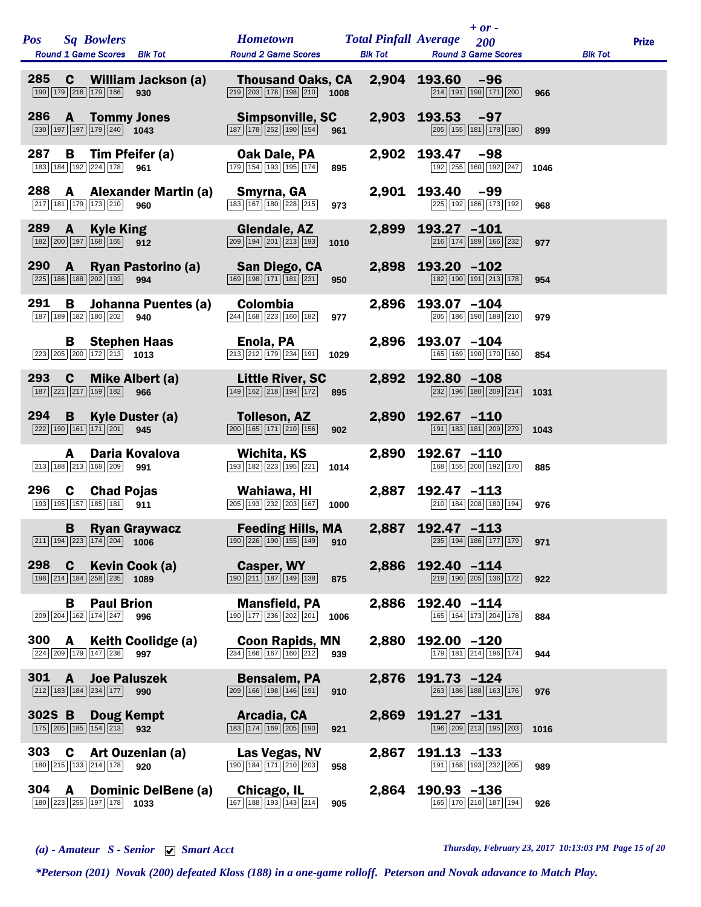| Pos                |              | <b>Sq Bowlers</b><br><b>Round 1 Game Scores</b>                                   | <b>Blk Tot</b>                     | <b>Hometown</b><br><b>Round 2 Game Scores</b>                                                     | <b>Blk Tot</b> |       | <b>Total Pinfall Average</b> | $+ or -$<br>200<br><b>Round 3 Game Scores</b> |      | <b>Blk Tot</b> | <b>Prize</b> |
|--------------------|--------------|-----------------------------------------------------------------------------------|------------------------------------|---------------------------------------------------------------------------------------------------|----------------|-------|------------------------------|-----------------------------------------------|------|----------------|--------------|
| 285                | $\mathbf c$  | 190 179 216 179 166                                                               | <b>William Jackson (a)</b><br>930  | <b>Thousand Oaks, CA</b><br>219 203 178 198 210                                                   | 1008           | 2,904 | 193.60                       | $-96$<br>214 191 190 171 200                  | 966  |                |              |
| 286                | A            | 230 197 197 179 240 1043                                                          | <b>Tommy Jones</b>                 | Simpsonville, SC<br>187 178 252 190 154                                                           | 961            | 2,903 | 193.53                       | $-97$<br>205 155 181 178 180                  | 899  |                |              |
| 287                | В            | 183 184 192 224 178                                                               | Tim Pfeifer (a)<br>961             | Oak Dale, PA<br>179 154 193 195 174                                                               | 895            | 2,902 | 193.47                       | $-98$<br>192 255 160 192 247                  | 1046 |                |              |
| 288                | A            | 217 181 179 173 210                                                               | <b>Alexander Martin (a)</b><br>960 | Smyrna, GA<br>183 167 180 228 215                                                                 | 973            | 2,901 | 193.40                       | -99<br>225 192 186 173 192                    | 968  |                |              |
| 289                | A            | <b>Kyle King</b><br>182 200 197 168 165                                           | 912                                | Glendale, AZ<br>$\boxed{209}$ $\boxed{194}$ $\boxed{201}$ $\boxed{213}$ $\boxed{193}$             | 1010           | 2,899 | 193.27 -101                  | 216 174 189 166 232                           | 977  |                |              |
| 290                | A            | 225 186 188 202 193                                                               | Ryan Pastorino (a)<br>994          | San Diego, CA<br>169 198 171 181 231                                                              | 950            | 2,898 | 193.20 -102                  | 182 190 191 213 178                           | 954  |                |              |
| 291                | B            | 187 189 182 180 202                                                               | Johanna Puentes (a)<br>940         | Colombia<br>244 168 223 160 182                                                                   | 977            | 2,896 | 193.07 -104                  | 205 186 190 188 210                           | 979  |                |              |
|                    | В            | 223 205 200 172 213                                                               | <b>Stephen Haas</b><br>1013        | Enola, PA<br>$\boxed{213}$ $\boxed{212}$ $\boxed{179}$ $\boxed{234}$ $\boxed{191}$                | 1029           | 2,896 | 193.07 -104                  | 165 169 190 170 160                           | 854  |                |              |
| 293                | C            | 187 221 217 159 182                                                               | <b>Mike Albert (a)</b><br>966      | <b>Little River, SC</b><br>149 162 218 194 172                                                    | 895            | 2,892 | 192.80 -108                  | 232 196 180 209 214                           | 1031 |                |              |
| 294                | B            | 222 190 161 171 201                                                               | <b>Kyle Duster (a)</b><br>945      | <b>Tolleson, AZ</b><br>$\boxed{200}$ $\boxed{165}$ $\boxed{171}$ $\boxed{210}$ $\boxed{156}$      | 902            | 2,890 | 192.67 -110                  | 191 183 181 209 279                           | 1043 |                |              |
|                    | A            | 213 188 213 168 209                                                               | Daria Kovalova<br>991              | Wichita, KS<br>193 182 223 195 221                                                                | 1014           | 2,890 | 192.67 -110                  | 168 155 200 192 170                           | 885  |                |              |
| 296<br>193 195 157 | C            | <b>Chad Pojas</b><br>185 181                                                      | 911                                | Wahiawa, HI<br>205 193 232 203 167                                                                | 1000           | 2,887 | 192.47 -113                  | 210 184 208 180 194                           | 976  |                |              |
|                    | B            | 211 194 223 174 204 1006                                                          | <b>Ryan Graywacz</b>               | <b>Feeding Hills, MA</b><br>$\boxed{190}$ $\boxed{226}$ $\boxed{190}$ $\boxed{155}$ $\boxed{149}$ | 910            | 2,887 | 192.47 -113                  | 235 194 186 177 179 971                       |      |                |              |
| 298                | $\mathbf c$  | $\boxed{198}$ $\boxed{214}$ $\boxed{184}$ $\boxed{258}$ $\boxed{235}$ <b>1089</b> | Kevin Cook (a)                     | Casper, WY<br>$\boxed{190}$ $\boxed{211}$ $\boxed{187}$ $\boxed{149}$ $\boxed{138}$               | 875            |       | 2,886 192.40 -114            | 219 190 205 136 172                           | 922  |                |              |
|                    | в            | <b>Paul Brion</b><br>209 204 162 174 247 996                                      |                                    | <b>Mansfield, PA</b><br>190 177 236 202 201                                                       | 1006           | 2,886 | $192.40 -114$                | 165 164 173 204 178                           | 884  |                |              |
| 300                | $\mathbf{A}$ | 224 209 179 147 238                                                               | <b>Keith Coolidge (a)</b><br>997   | <b>Coon Rapids, MN</b><br>$\boxed{234}$ 166 167 160 212                                           | 939            | 2,880 | $192.00 - 120$               | 179 181 214 196 174                           | 944  |                |              |
| 301                | A            | 212 183 184 234 177                                                               | <b>Joe Paluszek</b><br>990         | <b>Bensalem, PA</b><br>209 166 198 146 191                                                        | 910            |       | 2,876 191.73 -124            | 263 186 188 163 176                           | 976  |                |              |
| 302S B             |              | <b>Doug Kempt</b><br>175 205 185 154 213 932                                      |                                    | Arcadia, CA<br>183 174 169 205 190                                                                | 921            | 2,869 | 191.27 -131                  | 196 209 213 195 203                           | 1016 |                |              |
| 303                | C            | 180 215 133 214 178                                                               | Art Ouzenian (a)<br>920            | Las Vegas, NV<br>$\boxed{190}$ $\boxed{184}$ $\boxed{171}$ $\boxed{210}$ $\boxed{203}$            | 958            | 2,867 | $191.13 - 133$               | 191 168 193 232 205                           | 989  |                |              |
| 304                | A            | 180 223 255 197 178                                                               | <b>Dominic DelBene (a)</b><br>1033 | Chicago, IL<br>167 188 193 143 214                                                                | 905            | 2,864 | $190.93 - 136$               | 165 170 210 187 194                           | 926  |                |              |

*(a) - Amateur S - Senior Smart Acct Thursday, February 23, 2017 10:13:03 PM Page 15 of 20*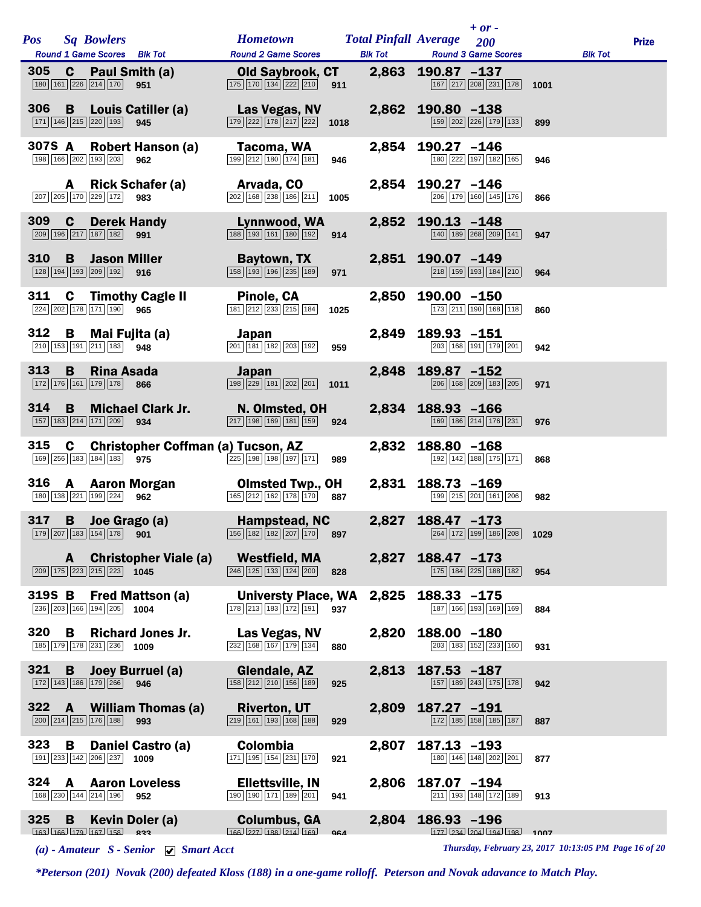| <b>Pos</b> |              | <b>Sq Bowlers</b>                                                                                                                                     | Hometown Total Pinfall Average 200                                                                   |            |                |                   | $+$ or -                      |      |                | <b>Prize</b> |
|------------|--------------|-------------------------------------------------------------------------------------------------------------------------------------------------------|------------------------------------------------------------------------------------------------------|------------|----------------|-------------------|-------------------------------|------|----------------|--------------|
|            |              | Round 1 Game Scores Blk Tot                                                                                                                           | <b>Round 2 Game Scores</b>                                                                           |            | <b>Blk Tot</b> |                   | <b>Round 3 Game Scores</b>    |      | <b>Blk Tot</b> |              |
| 305        |              | <b>C</b> Paul Smith (a)<br>$\boxed{180}$ $\boxed{161}$ $\boxed{226}$ $\boxed{214}$ $\boxed{170}$ 951                                                  | Old Saybrook, CT<br>$\boxed{175}$ $\boxed{170}$ $\boxed{134}$ $\boxed{222}$ $\boxed{210}$ <b>911</b> |            |                | 2,863 190.87 -137 | 167 217 208 231 178           | 1001 |                |              |
|            |              | 306 B Louis Catiller (a)<br>171 146 215 220 193 945                                                                                                   | Las Vegas, NV<br>$\boxed{179}$ $\boxed{222}$ $\boxed{178}$ $\boxed{217}$ $\boxed{222}$ 1018          |            | 2,862          | $190.80 - 138$    | 159 202 226 179 133           | 899  |                |              |
|            |              | 307S A Robert Hanson (a)<br>198 166 202 193 203 962                                                                                                   | Tacoma, WA<br>199 212 180 174 181                                                                    | 946        |                | 2,854 190.27 -146 | 180 222 197 182 165           | 946  |                |              |
|            | A            | <b>Rick Schafer (a)</b><br>207 205 170 229 172 983                                                                                                    | Arvada, CO<br>$\boxed{202}$ 168 238 186 211                                                          | 1005       |                | 2,854 190.27 -146 | 206 179 160 145 176           | 866  |                |              |
| <b>309</b> |              | <b>C</b> Derek Handy<br>209 196 217 187 182 991                                                                                                       | Lynnwood, WA<br>$\boxed{188}$ 193 161 180 192                                                        | 914        | 2,852          | $190.13 - 148$    | 140 189 268 209 141           | 947  |                |              |
| 310        | <b>B</b>     | <b>Jason Miller</b><br>128 194 193 209 192 916                                                                                                        | Baytown, TX<br>$\boxed{158}$ $\boxed{193}$ $\boxed{196}$ $\boxed{235}$ $\boxed{189}$                 | 971        |                | 2,851 190.07 -149 | 218 159 193 184 210           | 964  |                |              |
| 311        |              | <b>C</b> Timothy Cagle II<br>224 202 178 171 190 965                                                                                                  | Pinole, CA<br>$\boxed{181}$ $\boxed{212}$ $\boxed{233}$ $\boxed{215}$ $\boxed{184}$                  | 1025       | 2,850          | $190.00 - 150$    | 173 211 190 168 118           | 860  |                |              |
| 312        | B            | Mai Fujita (a) Sapan<br>210 153 191 211 183 948                                                                                                       | $\boxed{201}$ $\boxed{181}$ $\boxed{182}$ $\boxed{203}$ $\boxed{192}$                                | 959        | 2,849          | 189.93 -151       | 203 168 191 179 201           | 942  |                |              |
| 313        | B            | <b>Rina Asada</b><br>172 176 161 179 178 866                                                                                                          | Japan<br>$\boxed{198}$ $\boxed{229}$ $\boxed{181}$ $\boxed{202}$ $\boxed{201}$                       | 1011       | 2,848          | 189.87 -152       | 206 168 209 183 205           | 971  |                |              |
| 314        | B.           | <b>Michael Clark Jr.</b><br>$\boxed{157}$ $\boxed{183}$ $\boxed{214}$ $\boxed{171}$ $\boxed{209}$ <b>934</b>                                          | <b>N. Olmsted, OH</b><br>$\boxed{217}$ 198 169 181 159 924                                           |            |                | 2,834 188.93 -166 | 169 186 214 176 231           | 976  |                |              |
| 315        |              | C Christopher Coffman (a) Tucson, AZ<br>169 256 183 184 183 975                                                                                       | $\frac{225}{198}$ 198 198 197 171                                                                    | 989        | 2,832          | 188.80 -168       | 192 142 188 175 171           | 868  |                |              |
|            |              | 316 A Aaron Morgan<br>$\boxed{180}$ $\boxed{138}$ $\boxed{221}$ $\boxed{199}$ $\boxed{224}$ 962                                                       | <b>Olmsted Twp., OH</b><br>$\boxed{165}$ $\boxed{212}$ $\boxed{162}$ $\boxed{178}$ $\boxed{170}$ 887 |            | 2,831          | $188.73 - 169$    | 199 215 201 161 206           | 982  |                |              |
|            |              | 317 B Joe Grago (a)<br>$\boxed{179}\boxed{207}\boxed{183}\boxed{154}\boxed{178}$ <b>901</b> $\boxed{162}\boxed{182}\boxed{207}\boxed{170}$ <b>897</b> | Hampstead, NC 2,827 188.47 -173                                                                      |            |                |                   | 264 172 199 186 208 1029      |      |                |              |
|            | A –          | <b>Christopher Viale (a)</b><br>$\boxed{209}$ $\boxed{175}$ $\boxed{223}$ $\boxed{215}$ $\boxed{223}$ <b>1045</b>                                     | <b>Westfield, MA</b><br>$\boxed{246}$ $\boxed{125}$ $\boxed{133}$ $\boxed{124}$ $\boxed{200}$        | 828        | 2,827          | $188.47 - 173$    | 175 184 225 188 182           | 954  |                |              |
| 319S B     |              | <b>Fred Mattson (a)</b><br>236 203 166 194 205 1004                                                                                                   | <b>Universty Place, WA</b><br>178 213 183 172 191                                                    | 937        | 2,825          | 188.33 -175       | 187 166 193 169 169           | 884  |                |              |
| 320        | B            | <b>Richard Jones Jr.</b><br>185 179 178 231 236 1009                                                                                                  | Las Vegas, NV<br>$\sqrt{232}\sqrt{168}\sqrt{167}\sqrt{179}\sqrt{134}$                                | 880        | 2,820          | 188.00 -180       | 203 183 152 233 160           | 931  |                |              |
| 321        | B            | Joey Burruel (a)<br>172 143 186 179 266 946                                                                                                           | Glendale, AZ<br>$\boxed{158}\boxed{212}\boxed{210}\boxed{156}\boxed{189}$                            | 925        | 2,813          | $187.53 - 187$    | 157 189 243 175 178           | 942  |                |              |
| 322        | $\mathbf{A}$ | <b>William Thomas (a)</b><br>$\boxed{200}$ $\boxed{214}$ $\boxed{215}$ $\boxed{176}$ $\boxed{188}$<br>993                                             | <b>Riverton, UT</b><br>$\boxed{219}$ $\boxed{161}$ $\boxed{193}$ $\boxed{168}$ $\boxed{188}$         | 929        | 2,809          | 187.27 -191       | 172 185 158 185 187           | 887  |                |              |
| 323        | В            | Daniel Castro (a)<br>191 233 142 206 237<br>1009                                                                                                      | Colombia<br>$\boxed{171}$ $\boxed{195}$ $\boxed{154}$ $\boxed{231}$ $\boxed{170}$                    | 921        | 2,807          | $187.13 - 193$    | 180 146 148 202 201           | 877  |                |              |
| 324        | A            | <b>Aaron Loveless</b><br>168 230 144 214 196 952                                                                                                      | <b>Ellettsville, IN</b><br>$\boxed{190}$ $\boxed{190}$ $\boxed{171}$ $\boxed{189}$ $\boxed{201}$     | 941        | 2,806          | 187.07 -194       | 211 193 148 172 189           | 913  |                |              |
| 325        | B            | Kevin Doler (a)<br>$163 \overline{)166 \overline{)179 \overline{)167 \overline{)158}}$ 823                                                            | <b>Columbus, GA</b><br>$\sqrt{166}$ $\sqrt{27}$ $\sqrt{188}$ $\sqrt{214}$ $\sqrt{169}$               | <b>QGA</b> | 2,804          | 186.93 -196       | $177$ $234$ $204$ $194$ $198$ | 1007 |                |              |

*(a) - Amateur S - Senior Smart Acct Thursday, February 23, 2017 10:13:05 PM Page 16 of 20*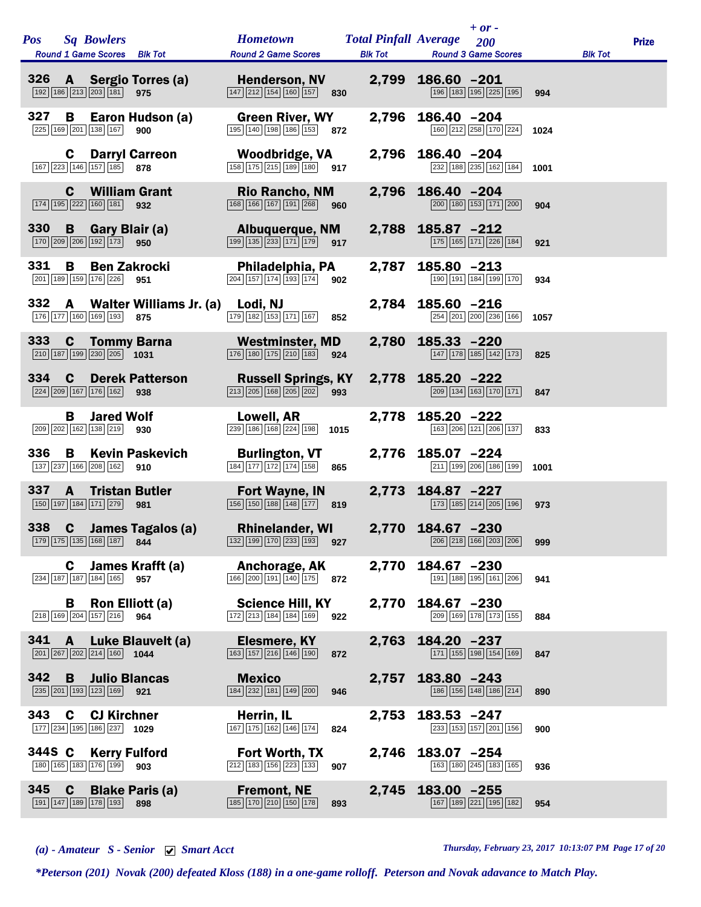| <b>Pos</b> | <b>Sq Bowlers</b><br>Round 1 Game Scores Blk Tot                                |                                | <b>Hometown</b><br><b>Round 2 Game Scores</b>                                                       | <b>Total Pinfall Average</b> 200 |                   | $+ or -$<br><b>Blk Tot Round 3 Game Scores</b>                        |      | <b>Blk Tot</b> | <b>Prize</b> |
|------------|---------------------------------------------------------------------------------|--------------------------------|-----------------------------------------------------------------------------------------------------|----------------------------------|-------------------|-----------------------------------------------------------------------|------|----------------|--------------|
|            | 326 A Sergio Torres (a)<br>192 186 213 203 181 975                              |                                | <b>Henderson, NV</b><br>$\boxed{147}$ $\boxed{212}$ $\boxed{154}$ $\boxed{160}$ $\boxed{157}$ 830   |                                  | 2,799 186.60 -201 | 196 183 195 225 195                                                   | 994  |                |              |
| 327        | B<br>225 169 201 138 167                                                        | Earon Hudson (a)<br>900        | <b>Green River, WY</b><br>195 140 198 186 153 872                                                   | 2,796                            | 186.40 -204       | 160 212 258 170 224                                                   | 1024 |                |              |
|            | C.<br>167 223 146 157 185 878                                                   | <b>Darryl Carreon</b>          | Woodbridge, VA<br>$\boxed{158}$ $\boxed{175}$ $\boxed{215}$ $\boxed{189}$ $\boxed{180}$ 917         |                                  | 2,796 186.40 -204 | 232 188 235 162 184                                                   | 1001 |                |              |
|            | $\mathbf{c}$<br>174 195 222 160 181 932                                         | <b>William Grant</b>           | <b>Rio Rancho, NM</b><br>168 166 167 191 268 960                                                    | 2,796                            | 186.40 -204       | 200 180 153 171 200                                                   | 904  |                |              |
| 330        | <b>B</b> Gary Blair (a)<br>170 209 206 192 173 950                              |                                | Albuquerque, NM<br>$\boxed{199}$ $\boxed{135}$ $\boxed{233}$ $\boxed{171}$ $\boxed{179}$ 917        | 2,788                            | 185.87 -212       | 175 165 171 226 184                                                   | 921  |                |              |
| 331        | B<br>201 189 159 176 226 951                                                    | <b>Ben Zakrocki</b>            | Philadelphia, PA<br>$\boxed{204}$ 157 174 193 174                                                   | 2,787<br>902                     | 185.80 -213       | 190 191 184 199 170                                                   | 934  |                |              |
| 332        | $\mathbf{A}$<br>176 177 160 169 193                                             | Walter Williams Jr. (a)<br>875 | Lodi, NJ<br>$\boxed{179}$ $\boxed{182}$ $\boxed{153}$ $\boxed{171}$ $\boxed{167}$ 852               | 2,784                            | 185.60 -216       | 254 201 200 236 166                                                   | 1057 |                |              |
| 333        | <b>C</b> Tommy Barna<br>$\boxed{210}$ 187 199 230 205 1031                      |                                | <b>Westminster, MD</b><br>$\boxed{176}$ $\boxed{180}$ $\boxed{175}$ $\boxed{210}$ $\boxed{183}$     | 2,780<br>924                     | $185.33 - 220$    | 147 178 185 142 173                                                   | 825  |                |              |
| 334        | $\mathbf c$<br>224 209 167 176 162 938                                          | <b>Derek Patterson</b>         | <b>Russell Springs, KY</b><br>$\boxed{213}$ $\boxed{205}$ $\boxed{168}$ $\boxed{205}$ $\boxed{202}$ | 993                              | 2,778 185.20 -222 | $\boxed{209}$ $\boxed{134}$ $\boxed{163}$ $\boxed{170}$ $\boxed{171}$ | 847  |                |              |
|            | <b>Jared Wolf</b><br>В<br>209 202 162 138 219                                   | 930                            | Lowell, AR<br>$\boxed{239}$ $\boxed{186}$ $\boxed{168}$ $\boxed{224}$ $\boxed{198}$                 | 2,778<br>1015                    | $185.20 -222$     | 163 206 121 206 137                                                   | 833  |                |              |
| 336        | B<br>137 237 166 208 162                                                        | <b>Kevin Paskevich</b><br>910  | <b>Burlington, VT</b><br>184 177 172 174 158                                                        | 865                              | 2,776 185.07 -224 | 211 199 206 186 199                                                   | 1001 |                |              |
| 337        | $\mathbf{A}$<br>150 197 184 171 279                                             | <b>Tristan Butler</b><br>981   | <b>Fort Wayne, IN</b><br>$\boxed{156}$ $\boxed{150}$ $\boxed{188}$ $\boxed{148}$ $\boxed{177}$ 819  |                                  | 2,773 184.87 -227 | 173 185 214 205 196                                                   | 973  |                |              |
| 338        | $\mathbf{c}$<br>179 175 135 168 187                                             | James Tagalos (a)<br>844       | <b>Rhinelander, WI</b><br>$\boxed{132}$ $\boxed{199}$ $\boxed{170}$ $\boxed{233}$ $\boxed{193}$     | 927                              | 2,770 184.67 -230 | 206 218 166 203 206                                                   | 999  |                |              |
|            | C<br>234 187 187 184 165                                                        | James Krafft (a)<br>957        | Anchorage, AK<br>$\boxed{166}$ $\boxed{200}$ $\boxed{191}$ $\boxed{140}$ $\boxed{175}$              | 2,770<br>872                     | 184.67 -230       | 191 188 195 161 206                                                   | 941  |                |              |
|            | B<br>218 169 204 157 216 964                                                    | Ron Elliott (a)                | <b>Science Hill, KY</b><br>172 213 184 184 169                                                      | 2,770<br>922                     | 184.67 -230       | 209 169 178 173 155                                                   | 884  |                |              |
| 341        | A<br>$\boxed{201}$ $\boxed{267}$ $\boxed{202}$ $\boxed{214}$ $\boxed{160}$ 1044 | Luke Blauvelt (a)              | Elesmere, KY<br>$\boxed{163}$ $\boxed{157}$ $\boxed{216}$ $\boxed{146}$ $\boxed{190}$               | 2,763<br>872                     | 184.20 -237       | 171 155 198 154 169                                                   | 847  |                |              |
| 342        | B<br>235 201 193 123 169 921                                                    | <b>Julio Blancas</b>           | <b>Mexico</b><br>184 232 181 149 200                                                                | 2,757<br>946                     | $183.80 - 243$    | 186 156 148 186 214                                                   | 890  |                |              |
| 343        | C<br><b>CJ Kirchner</b><br>177 234 195 186 237 1029                             |                                | Herrin, IL<br>$\boxed{167}$ $\boxed{175}$ $\boxed{162}$ $\boxed{146}$ $\boxed{174}$                 | 2,753<br>824                     | 183.53 -247       | 233 153 157 201 156                                                   | 900  |                |              |
| 344S C     | <b>Kerry Fulford</b><br>180 165 183 176 199                                     | 903                            | <b>Fort Worth, TX</b><br>212 183 156 223 133                                                        | 2,746<br>907                     | 183.07 -254       | 163 180 245 183 165                                                   | 936  |                |              |
| 345        | $\mathbf c$<br>191 147 189 178 193                                              | <b>Blake Paris (a)</b><br>898  | <b>Fremont, NE</b><br>$\boxed{185}$ $\boxed{170}$ $\boxed{210}$ $\boxed{150}$ $\boxed{178}$         | 2,745<br>893                     | 183.00 -255       | 167 189 221 195 182                                                   | 954  |                |              |

*(a) - Amateur S - Senior Smart Acct Thursday, February 23, 2017 10:13:07 PM Page 17 of 20*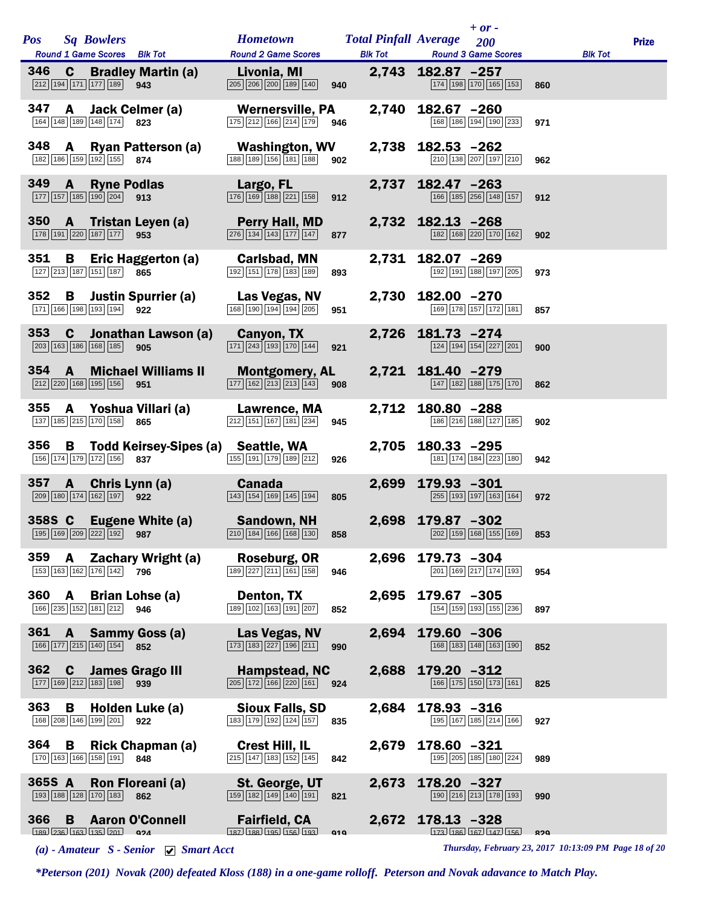| <b>Pos</b> | <b>Sq Bowlers</b>                                                         |                                                                                                                         | <b>Hometown Total Pinfall Average</b> 200                                                                |                                               | $+$ or $-$                                              |     |                | <b>Prize</b> |
|------------|---------------------------------------------------------------------------|-------------------------------------------------------------------------------------------------------------------------|----------------------------------------------------------------------------------------------------------|-----------------------------------------------|---------------------------------------------------------|-----|----------------|--------------|
|            |                                                                           | Round 1 Game Scores Blk Tot<br>346 C Bradley Martin (a) Livonia, MI                                                     | <b>Round 2 Game Scores</b>                                                                               |                                               | <b>Blk Tot Round 3 Game Scores</b><br>2,743 182.87 -257 |     | <b>Blk Tot</b> |              |
|            | 212 194 171 177 189 943                                                   |                                                                                                                         | 205 206 200 189 140 940                                                                                  |                                               | 174 198 170 165 153                                     | 860 |                |              |
|            | 164 148 189 148 174 823                                                   | 347 A Jack Celmer (a)                                                                                                   | <b>Wernersville, PA</b><br>$\boxed{175}$ $\boxed{212}$ $\boxed{166}$ $\boxed{214}$ $\boxed{179}$ 946     |                                               | 2,740 182.67 -260<br>168 186 194 190 233                | 971 |                |              |
|            | 182 186 159 192 155 874                                                   | 348 A Ryan Patterson (a)                                                                                                | <b>Washington, WV</b><br>$\boxed{188}$ $\boxed{189}$ $\boxed{156}$ $\boxed{181}$ $\boxed{188}$ 902       |                                               | 2,738 182.53 -262<br>210 138 207 197 210                | 962 |                |              |
| 349 A      | $\boxed{177}$ $\boxed{157}$ $\boxed{185}$ $\boxed{190}$ $\boxed{204}$ 913 | <b>Ryne Podlas</b>                                                                                                      | <b>Example 12 Largo, FL</b><br>$\boxed{176}$ $\boxed{169}$ $\boxed{188}$ $\boxed{221}$ $\boxed{158}$ 912 |                                               | 2,737 182.47 -263<br>166 185 256 148 157                | 912 |                |              |
|            | 178 191 220 187 177 953                                                   | 350 A Tristan Leyen (a)                                                                                                 | <b>Perry Hall, MD</b><br>276 134 143 177 147 877                                                         |                                               | 2,732 182.13 -268<br>182 168 220 170 162                | 902 |                |              |
| 351        | 127 213 187 151 187 865                                                   | <b>B</b> Eric Haggerton (a) <b>Carlsbad, MN</b>                                                                         | 192 151 178 183 189                                                                                      | 893                                           | 2,731 182.07 -269<br>192 191 188 197 205                | 973 |                |              |
|            | 171 166 198 193 194 922                                                   | 352 B Justin Spurrier (a) Las Vegas, NV                                                                                 | 168 190 194 194 205                                                                                      | 951                                           | 2,730 182.00 -270<br>169 178 157 172 181 857            |     |                |              |
| 353        | $\mathbf{c}$<br>$\boxed{203}$ 163 186 168 185                             | Jonathan Lawson (a)<br>905                                                                                              | <b>Canyon, TX Canyon</b><br>$\boxed{171}$ $\boxed{243}$ $\boxed{193}$ $\boxed{170}$ $\boxed{144}$        | 921                                           | 2,726 181.73 -274<br>124 194 154 227 201                | 900 |                |              |
| $354$ A    | 212 220 168 195 156 951                                                   | <b>Michael Williams II</b>                                                                                              | <b>Montgomery, AL</b><br>$\boxed{177}$ $\boxed{162}$ $\boxed{213}$ $\boxed{213}$ $\boxed{143}$ 908       |                                               | 2,721 181.40 -279<br>147 182 188 175 170                | 862 |                |              |
| 355        | 137 185 215 170 158 865                                                   | A Yoshua Villari (a) Lawrence, MA                                                                                       | $\boxed{212}$ 151 167 181 234                                                                            | 945                                           | 2,712 180.80 -288<br>186 216 188 127 185                | 902 |                |              |
| 356        | 156 174 179 172 156 837                                                   | <b>B</b> Todd Keirsey-Sipes (a) Seattle, WA                                                                             | $\boxed{155}$ $\boxed{191}$ $\boxed{179}$ $\boxed{189}$ $\boxed{212}$                                    | 926                                           | 2,705 180.33 -295<br>181 174 184 223 180                | 942 |                |              |
|            | 209 180 174 162 197 922                                                   | 357 A Chris Lynn (a) Canada                                                                                             | 143 154 169 145 194                                                                                      | 805                                           | 2,699 179.93 -301<br>255 193 197 163 164                | 972 |                |              |
|            |                                                                           | 358S C Eugene White (a) Sandown, NH<br>$\boxed{195}$ $\boxed{169}$ $\boxed{209}$ $\boxed{222}$ $\boxed{192}$ <b>987</b> | $\boxed{210}$ $\boxed{184}$ $\boxed{166}$ $\boxed{168}$ $\boxed{130}$                                    | $858$ and $\sim$ 100 $\mu$ m $\sim$ 100 $\mu$ | 2,698 179.87 -302<br>202 159 168 155 169                | 853 |                |              |
| 359        | A<br>153 163 162 176 142                                                  | Zachary Wright (a)<br>796                                                                                               | Roseburg, OR<br>189 227 211 161 158                                                                      | 2,696<br>946                                  | 179.73 -304<br>201 169 217 174 193                      | 954 |                |              |
| 360        | A<br>166 235 152 181 212                                                  | <b>Brian Lohse (a)</b><br>946                                                                                           | Denton, TX<br>189 102 163 191 207                                                                        | 2,695<br>852                                  | 179.67 -305<br>154 159 193 155 236                      | 897 |                |              |
| 361        | A<br>166 177 215 140 154                                                  | Sammy Goss (a)<br>852                                                                                                   | Las Vegas, NV<br>173 183 227 196 211                                                                     | 2,694<br>990                                  | 179.60 -306<br>168 183 148 163 190                      | 852 |                |              |
| 362        | C<br>177 169 212 183 198                                                  | <b>James Grago III</b><br>939                                                                                           | Hampstead, NC<br>$\boxed{205}$ $\boxed{172}$ $\boxed{166}$ $\boxed{220}$ $\boxed{161}$                   | 2,688<br>924                                  | $179.20 -312$<br>166 175 150 173 161                    | 825 |                |              |
| 363        | В<br>168 208 146 199 201                                                  | Holden Luke (a)<br>922                                                                                                  | <b>Sioux Falls, SD</b><br>183 179 192 124 157                                                            | 2,684<br>835                                  | $178.93 - 316$<br>195 167 185 214 166                   | 927 |                |              |
| 364        | В<br>170 163 166 158 191                                                  | <b>Rick Chapman (a)</b><br>848                                                                                          | <b>Crest Hill, IL</b><br>215 147 183 152 145                                                             | 2,679<br>842                                  | 178.60 -321<br>195 205 185 180 224                      | 989 |                |              |
| 365S A     | 193 188 128 170 183                                                       | Ron Floreani (a)<br>862                                                                                                 | St. George, UT<br>159 182 149 140 191                                                                    | 2,673<br>821                                  | 178.20 -327<br>190 216 213 178 193                      | 990 |                |              |
| 366        | B<br>$189$ $236$ $163$ $135$ $201$ $924$                                  | <b>Aaron O'Connell</b>                                                                                                  | <b>Fairfield, CA</b><br>187 188 195 156 193                                                              | 2,672<br>Q1Q                                  | $178.13 - 328$<br>173 186 167 147 156                   | 820 |                |              |
|            |                                                                           | (a) - Amateur $S$ - Senior $\Box$ Smart Acct                                                                            |                                                                                                          |                                               | Thursday, February 23, 2017 10:13:09 PM Page 18 of 20   |     |                |              |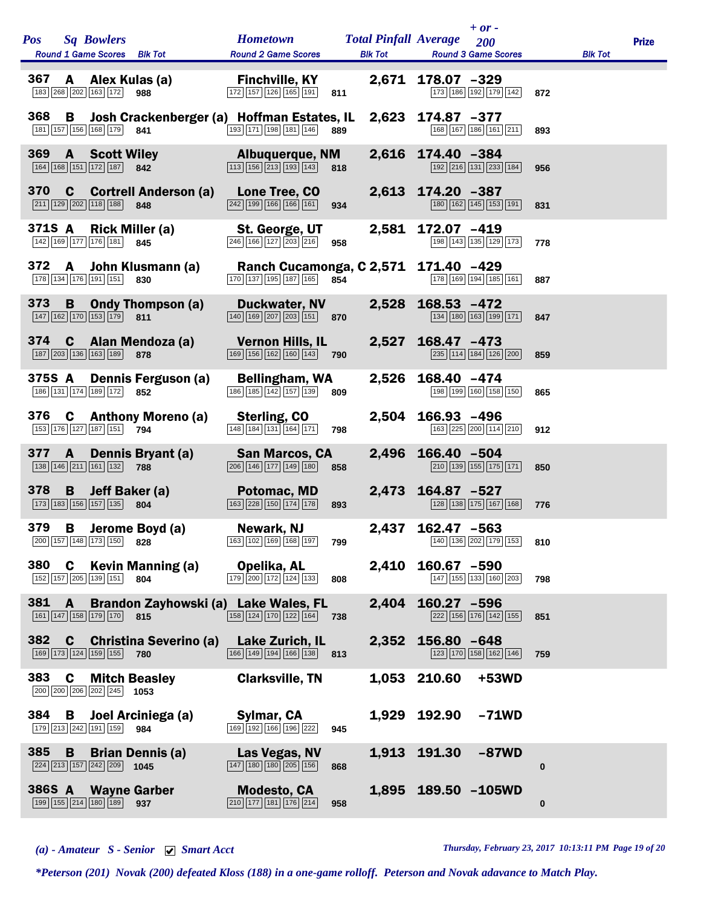| <b>Pos</b> | <b>Sq Bowlers</b><br>Round 1 Game Scores Blk Tot                                       |                                 | <b>Hometown</b><br><b>Round 2 Game Scores</b>                                                                                             |              | $+$ or -<br><b>Total Pinfall Average</b> 200<br><b>Blk Tot Round 3 Game Scores</b> |          | <b>Blk Tot</b> | <b>Prize</b> |
|------------|----------------------------------------------------------------------------------------|---------------------------------|-------------------------------------------------------------------------------------------------------------------------------------------|--------------|------------------------------------------------------------------------------------|----------|----------------|--------------|
| 367        | 183 268 202 163 172 988                                                                | A Alex Kulas (a)                | <b>Finchville, KY</b><br>172 157 126 165 191 811                                                                                          |              | 2,671 178.07 -329<br>173 186 192 179 142                                           | 872      |                |              |
| 368        | B<br>181 157 156 168 179 841                                                           |                                 | Josh Crackenberger (a) Hoffman Estates, IL 2,623 174.87 -377<br>$\boxed{193}$ $\boxed{171}$ $\boxed{198}$ $\boxed{181}$ $\boxed{146}$ 889 |              | 168 167 186 161 211                                                                | 893      |                |              |
| 369        | <b>A</b> Scott Wiley<br>164 168 151 172 187 842                                        |                                 | <b>Example 2016 Albuquerque, NM</b><br>$\boxed{113}$ $\boxed{156}$ $\boxed{213}$ $\boxed{193}$ $\boxed{143}$ 818                          |              | 2,616 174.40 -384<br>192 216 131 233 184                                           | 956      |                |              |
|            | $\boxed{211}$ $\boxed{129}$ $\boxed{202}$ $\boxed{118}$ $\boxed{188}$ 848              | 370 C Cortrell Anderson (a)     | Lone Tree, CO<br>242 199 166 166 161                                                                                                      | 934          | 2,613 174.20 -387<br>180 162 145 153 191                                           | 831      |                |              |
| 371S A     | 142 169 177 176 181 845                                                                | <b>Rick Miller (a)</b>          | <b>St. George, UT</b><br>$\boxed{246}$ 166 127 203 216 958                                                                                |              | 2,581 172.07 -419<br>198 143 135 129 173                                           | 778      |                |              |
|            | 178 134 176 191 151 830                                                                | 372 A John Klusmann (a)         | Ranch Cucamonga, C 2,571 171.40 -429<br>170 137 195 187 165 854                                                                           |              | 178 169 194 185 161                                                                | 887      |                |              |
| 373        | 147 162 170 153 179 811                                                                | <b>B</b> Ondy Thompson (a)      | <b>Duckwater, NV</b><br>$\boxed{140}$ $\boxed{169}$ $\boxed{207}$ $\boxed{203}$ $\boxed{151}$ 870                                         |              | 2,528 168.53 -472<br>134 180 163 199 171                                           | 847      |                |              |
|            | 187 203 136 163 189 878                                                                | 374 C Alan Mendoza (a)          | <b>Vernon Hills, IL</b><br>$\boxed{169}$ $\boxed{156}$ $\boxed{162}$ $\boxed{160}$ $\boxed{143}$ 790                                      |              | 2,527 168.47 -473<br>235 114 184 126 200                                           | 859      |                |              |
| 375S A     | 186 131 174 189 172 852                                                                | Dennis Ferguson (a)             | Bellingham, WA<br>$\boxed{186}$ $\boxed{185}$ $\boxed{142}$ $\boxed{157}$ $\boxed{139}$ 809                                               | 2,526        | 168.40 -474<br>198 199 160 158 150                                                 | 865      |                |              |
| 376        | 153 176 127 187 151 794                                                                | <b>C</b> Anthony Moreno (a)     | Sterling, CO<br>$\boxed{148}$ $\boxed{184}$ $\boxed{131}$ $\boxed{164}$ $\boxed{171}$                                                     | 798          | 2,504 166.93 -496<br>163 225 200 114 210                                           | 912      |                |              |
| 377        | $\overline{A}$<br>138 146 211 161 132 788                                              | Dennis Bryant (a)               | <b>San Marcos, CA</b><br>$\boxed{206}$ $\boxed{146}$ $\boxed{177}$ $\boxed{149}$ $\boxed{180}$ 858                                        | 2,496        | $166.40 - 504$<br>$\boxed{210}$ 139 155 175 171                                    | 850      |                |              |
| 378        | B<br>$\boxed{173}$ $\boxed{183}$ $\boxed{156}$ $\boxed{157}$ $\boxed{135}$ 804         | Jeff Baker (a)                  | <b>Potomac, MD</b><br>$\boxed{163}$ $\boxed{228}$ $\boxed{150}$ $\boxed{174}$ $\boxed{178}$                                               | 893          | 2,473 164.87 -527<br>128 138 175 167 168                                           | 776      |                |              |
| 379        | B<br>200 157 148 173 150                                                               | Jerome Boyd (a)<br>828          | Newark, NJ<br>163 102 169 168 197                                                                                                         | 799          | 2,437 162.47 -563<br>140 136 202 179 153                                           | 810      |                |              |
| 380        | C<br>152 157 205 139 151                                                               | <b>Kevin Manning (a)</b><br>804 | Opelika, AL<br>$\boxed{179}$ $\boxed{200}$ $\boxed{172}$ $\boxed{124}$ $\boxed{133}$                                                      | 2,410<br>808 | 160.67 -590<br>147 155 133 160 203                                                 | 798      |                |              |
| 381        | A<br>161 147 158 179 170 815                                                           |                                 | Brandon Zayhowski (a) Lake Wales, FL<br>158 124 170 122 164                                                                               | 2,404<br>738 | 160.27 -596<br>222 156 176 142 155                                                 | 851      |                |              |
| 382        | C<br>169 173 124 159 155 780                                                           | <b>Christina Severino (a)</b>   | Lake Zurich, IL<br>$\boxed{166}$ $\boxed{149}$ $\boxed{194}$ $\boxed{166}$ $\boxed{138}$ 813                                              | 2,352        | $156.80 - 648$<br>123 170 158 162 146                                              | 759      |                |              |
| 383        | C<br>200 200 206 202 245 1053                                                          | <b>Mitch Beasley</b>            | <b>Clarksville, TN</b>                                                                                                                    |              | 1,053 210.60<br>+53WD                                                              |          |                |              |
| 384        | B<br>179 213 242 191 159 984                                                           | Joel Arciniega (a)              | Sylmar, CA<br>169 192 166 196 222                                                                                                         | 945          | 1,929 192.90<br>$-71WD$                                                            |          |                |              |
| 385        | B<br>$\boxed{224}$ $\boxed{213}$ $\boxed{157}$ $\boxed{242}$ $\boxed{209}$ <b>1045</b> | <b>Brian Dennis (a)</b>         | Las Vegas, NV<br>$\boxed{147}$ $\boxed{180}$ $\boxed{180}$ $\boxed{205}$ $\boxed{156}$                                                    | 868          | 1,913 191.30<br>$-87WD$                                                            | $\bf{0}$ |                |              |
| 386S A     | 199 155 214 180 189                                                                    | <b>Wayne Garber</b><br>937      | <b>Modesto, CA</b><br>$\boxed{210}$ $\boxed{177}$ $\boxed{181}$ $\boxed{176}$ $\boxed{214}$                                               | 958          | 1,895 189.50 -105WD                                                                | $\bf{0}$ |                |              |

*(a) - Amateur S - Senior Smart Acct Thursday, February 23, 2017 10:13:11 PM Page 19 of 20*